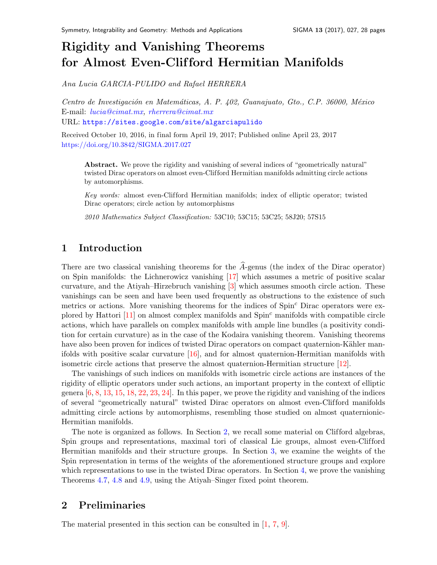# Rigidity and Vanishing Theorems for Almost Even-Clif ford Hermitian Manifolds

Ana Lucia GARCIA-PULIDO and Rafael HERRERA

Centro de Investigación en Matemáticas, A. P. 402, Guanajuato, Gto., C.P. 36000, México E-mail: [lucia@cimat.mx,](mailto:lucia@cimat.mx) [rherrera@cimat.mx](mailto:rherrera@cimat.mx) URL: <https://sites.google.com/site/algarciapulido>

Received October 10, 2016, in final form April 19, 2017; Published online April 23, 2017 <https://doi.org/10.3842/SIGMA.2017.027>

Abstract. We prove the rigidity and vanishing of several indices of "geometrically natural" twisted Dirac operators on almost even-Clifford Hermitian manifolds admitting circle actions by automorphisms.

Key words: almost even-Clifford Hermitian manifolds; index of elliptic operator; twisted Dirac operators; circle action by automorphisms

2010 Mathematics Subject Classification: 53C10; 53C15; 53C25; 58J20; 57S15

# 1 Introduction

There are two classical vanishing theorems for the  $\widehat{A}$ -genus (the index of the Dirac operator) on Spin manifolds: the Lichnerowicz vanishing [\[17\]](#page-27-0) which assumes a metric of positive scalar curvature, and the Atiyah–Hirzebruch vanishing [\[3\]](#page-26-0) which assumes smooth circle action. These vanishings can be seen and have been used frequently as obstructions to the existence of such metrics or actions. More vanishing theorems for the indices of Spin<sup>c</sup> Dirac operators were explored by Hattori  $[11]$  on almost complex manifolds and  $Spin<sup>c</sup>$  manifolds with compatible circle actions, which have parallels on complex manifolds with ample line bundles (a positivity condition for certain curvature) as in the case of the Kodaira vanishing theorem. Vanishing theorems have also been proven for indices of twisted Dirac operators on compact quaternion-Kähler manifolds with positive scalar curvature [\[16\]](#page-27-2), and for almost quaternion-Hermitian manifolds with isometric circle actions that preserve the almost quaternion-Hermitian structure [\[12\]](#page-27-3).

The vanishings of such indices on manifolds with isometric circle actions are instances of the rigidity of elliptic operators under such actions, an important property in the context of elliptic genera  $[6, 8, 13, 15, 18, 22, 23, 24]$  $[6, 8, 13, 15, 18, 22, 23, 24]$  $[6, 8, 13, 15, 18, 22, 23, 24]$  $[6, 8, 13, 15, 18, 22, 23, 24]$  $[6, 8, 13, 15, 18, 22, 23, 24]$  $[6, 8, 13, 15, 18, 22, 23, 24]$  $[6, 8, 13, 15, 18, 22, 23, 24]$  $[6, 8, 13, 15, 18, 22, 23, 24]$  $[6, 8, 13, 15, 18, 22, 23, 24]$  $[6, 8, 13, 15, 18, 22, 23, 24]$  $[6, 8, 13, 15, 18, 22, 23, 24]$  $[6, 8, 13, 15, 18, 22, 23, 24]$  $[6, 8, 13, 15, 18, 22, 23, 24]$  $[6, 8, 13, 15, 18, 22, 23, 24]$ . In this paper, we prove the rigidity and vanishing of the indices of several "geometrically natural" twisted Dirac operators on almost even-Clifford manifolds admitting circle actions by automorphisms, resembling those studied on almost quaternionic-Hermitian manifolds.

The note is organized as follows. In Section [2,](#page-0-0) we recall some material on Clifford algebras, Spin groups and representations, maximal tori of classical Lie groups, almost even-Clifford Hermitian manifolds and their structure groups. In Section [3,](#page-8-0) we examine the weights of the Spin representation in terms of the weights of the aforementioned structure groups and explore which representations to use in the twisted Dirac operators. In Section [4,](#page-15-0) we prove the vanishing Theorems [4.7,](#page-21-0) [4.8](#page-23-0) and [4.9,](#page-24-0) using the Atiyah–Singer fixed point theorem.

# <span id="page-0-0"></span>2 Preliminaries

The material presented in this section can be consulted in [\[1,](#page-26-2) [7,](#page-27-11) [9\]](#page-27-12).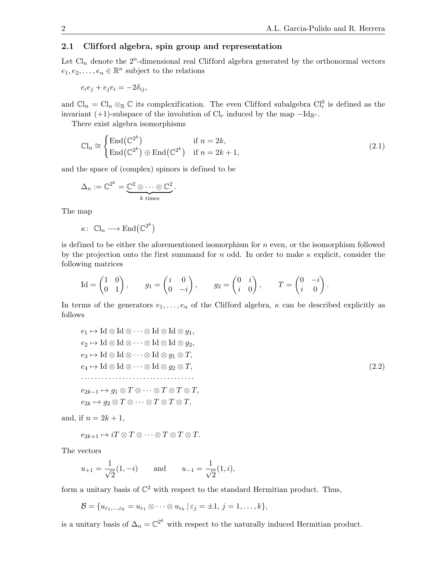### 2.1 Clifford algebra, spin group and representation

Let  $Cl_n$  denote the  $2^n$ -dimensional real Clifford algebra generated by the orthonormal vectors  $e_1, e_2, \ldots, e_n \in \mathbb{R}^n$  subject to the relations

 $e_i e_j + e_i e_i = -2\delta_{ij},$ 

and  $\mathbb{C}\mathbb{I}_n = \mathbb{C}\mathbb{I}_n \otimes_{\mathbb{R}} \mathbb{C}$  its complexification. The even Clifford subalgebra  $\mathbb{C}\mathbb{I}_r^0$  is defined as the invariant (+1)-subspace of the involution of  $\mathrm{Cl}_r$  induced by the map  $-\mathrm{Id}_{\mathbb{R}^r}$ .

There exist algebra isomorphisms

<span id="page-1-1"></span>
$$
\mathbb{C}l_n \cong \begin{cases} \text{End}(\mathbb{C}^{2^k}) & \text{if } n = 2k, \\ \text{End}(\mathbb{C}^{2^k}) \oplus \text{End}(\mathbb{C}^{2^k}) & \text{if } n = 2k + 1, \end{cases}
$$
 (2.1)

and the space of (complex) spinors is defined to be

$$
\Delta_n := \mathbb{C}^{2^k} = \underbrace{\mathbb{C}^2 \otimes \cdots \otimes \mathbb{C}^2}_{k \text{ times}}.
$$

The map

 $\kappa\colon\thinspace \mathbb{C}\mathbb{I}_n\longrightarrow \mathrm{End}\big(\mathbb{C}^{2^k}\big)$ 

is defined to be either the aforementioned isomorphism for  $n$  even, or the isomorphism followed by the projection onto the first summand for n odd. In order to make  $\kappa$  explicit, consider the following matrices

$$
\mathrm{Id} = \begin{pmatrix} 1 & 0 \\ 0 & 1 \end{pmatrix}, \quad g_1 = \begin{pmatrix} i & 0 \\ 0 & -i \end{pmatrix}, \quad g_2 = \begin{pmatrix} 0 & i \\ i & 0 \end{pmatrix}, \quad T = \begin{pmatrix} 0 & -i \\ i & 0 \end{pmatrix}.
$$

In terms of the generators  $e_1, \ldots, e_n$  of the Clifford algebra,  $\kappa$  can be described explicitly as follows

<span id="page-1-0"></span>
$$
e_1 \mapsto \text{Id} \otimes \text{Id} \otimes \cdots \otimes \text{Id} \otimes \text{Id} \otimes g_1,
$$
  
\n
$$
e_2 \mapsto \text{Id} \otimes \text{Id} \otimes \cdots \otimes \text{Id} \otimes \text{Id} \otimes g_2,
$$
  
\n
$$
e_3 \mapsto \text{Id} \otimes \text{Id} \otimes \cdots \otimes \text{Id} \otimes g_1 \otimes T,
$$
  
\n
$$
e_4 \mapsto \text{Id} \otimes \text{Id} \otimes \cdots \otimes \text{Id} \otimes g_2 \otimes T,
$$
  
\n
$$
e_{2k-1} \mapsto g_1 \otimes T \otimes \cdots \otimes T \otimes T \otimes T,
$$
  
\n
$$
e_{2k} \mapsto g_2 \otimes T \otimes \cdots \otimes T \otimes T \otimes T,
$$
  
\n(2.2)

and, if  $n = 2k + 1$ ,

$$
e_{2k+1} \mapsto iT \otimes T \otimes \cdots \otimes T \otimes T \otimes T.
$$

The vectors

$$
u_{+1} = \frac{1}{\sqrt{2}}(1, -i)
$$
 and  $u_{-1} = \frac{1}{\sqrt{2}}(1, i),$ 

form a unitary basis of  $\mathbb{C}^2$  with respect to the standard Hermitian product. Thus,

$$
\mathcal{B} = \{u_{\varepsilon_1,\ldots,\varepsilon_k}=u_{\varepsilon_1}\otimes\cdots\otimes u_{\varepsilon_k} \mid \varepsilon_j=\pm 1, j=1,\ldots,k\},\
$$

is a unitary basis of  $\Delta_n = \mathbb{C}^{2^k}$  with respect to the naturally induced Hermitian product.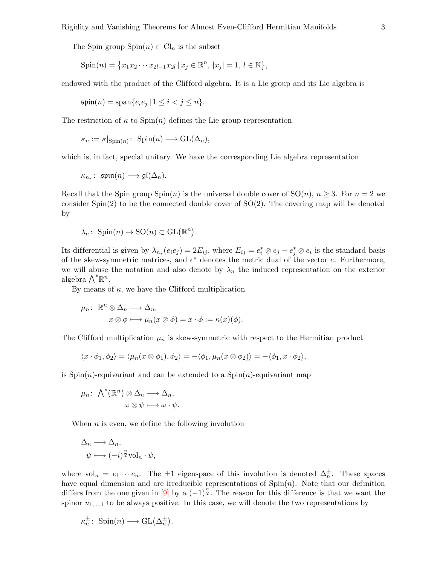The Spin group  $Spin(n) \subset Cl_n$  is the subset

$$
Spin(n) = \{x_1x_2\cdots x_{2l-1}x_{2l} \mid x_j \in \mathbb{R}^n, |x_j| = 1, l \in \mathbb{N}\},\
$$

endowed with the product of the Clifford algebra. It is a Lie group and its Lie algebra is

$$
\operatorname{\mathfrak{spin}}(n) = \operatorname{span}\{e_i e_j \mid 1 \le i < j \le n\}.
$$

The restriction of  $\kappa$  to  $\text{Spin}(n)$  defines the Lie group representation

$$
\kappa_n := \kappa|_{\operatorname{Spin}(n)} \colon \operatorname{Spin}(n) \longrightarrow \operatorname{GL}(\Delta_n),
$$

which is, in fact, special unitary. We have the corresponding Lie algebra representation

$$
\kappa_{n_*}\colon \mathfrak{spin}(n)\longrightarrow \mathfrak{gl}(\Delta_n).
$$

Recall that the Spin group  $\text{Spin}(n)$  is the universal double cover of  $\text{SO}(n)$ ,  $n \geq 3$ . For  $n = 2$  we consider  $Spin(2)$  to be the connected double cover of  $SO(2)$ . The covering map will be denoted by

$$
\lambda_n\colon \operatorname{Spin}(n)\to \operatorname{SO}(n)\subset \operatorname{GL}(\mathbb{R}^n).
$$

Its differential is given by  $\lambda_{n_*}(e_ie_j) = 2E_{ij}$ , where  $E_{ij} = e_i^* \otimes e_j - e_j^* \otimes e_i$  is the standard basis of the skew-symmetric matrices, and  $e^*$  denotes the metric dual of the vector  $e$ . Furthermore, we will abuse the notation and also denote by  $\lambda_n$  the induced representation on the exterior algebra  $\bigwedge^{\ast} \mathbb{R}^n$ .

By means of  $\kappa$ , we have the Clifford multiplication

$$
\mu_n: \ \mathbb{R}^n \otimes \Delta_n \longrightarrow \Delta_n,
$$
  

$$
x \otimes \phi \longmapsto \mu_n(x \otimes \phi) = x \cdot \phi := \kappa(x)(\phi).
$$

The Clifford multiplication  $\mu_n$  is skew-symmetric with respect to the Hermitian product

$$
\langle x \cdot \phi_1, \phi_2 \rangle = \langle \mu_n(x \otimes \phi_1), \phi_2 \rangle = -\langle \phi_1, \mu_n(x \otimes \phi_2) \rangle = -\langle \phi_1, x \cdot \phi_2 \rangle,
$$

is  $Spin(n)$ -equivariant and can be extended to a  $Spin(n)$ -equivariant map

$$
\mu_n: \ \bigwedge^* (\mathbb{R}^n) \otimes \Delta_n \longrightarrow \Delta_n, \omega \otimes \psi \longmapsto \omega \cdot \psi.
$$

When  $n$  is even, we define the following involution

.

$$
\Delta_n \longrightarrow \Delta_n,
$$
  

$$
\psi \longmapsto (-i)^{\frac{n}{2}} \text{vol}_n \cdot \psi,
$$

where  $vol_n = e_1 \cdots e_n$ . The  $\pm 1$  eigenspace of this involution is denoted  $\Delta_n^{\pm}$ . These spaces have equal dimension and are irreducible representations of  $Spin(n)$ . Note that our definition differs from the one given in [\[9\]](#page-27-12) by a  $(-1)^{\frac{n}{2}}$ . The reason for this difference is that we want the spinor  $u_{1,\dots,1}$  to be always positive. In this case, we will denote the two representations by

$$
\kappa_n^{\pm}\colon\thinspace\operatorname{Spin}(n)\longrightarrow\operatorname{GL}\bigl(\Delta_n^{\pm}\bigr)
$$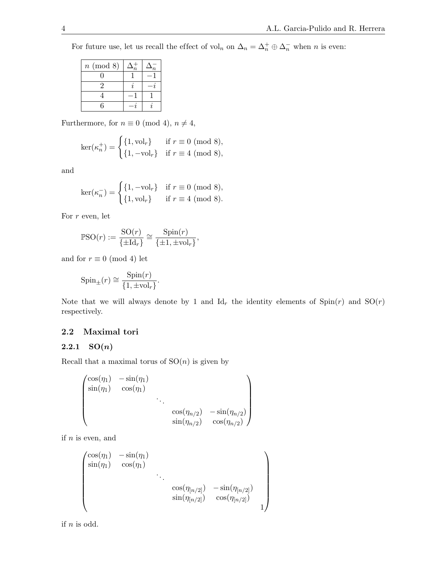For future use, let us recall the effect of vol<sub>n</sub> on  $\Delta_n = \Delta_n^+ \oplus \Delta_n^-$  when n is even:

| $n \pmod{8}$                | n. |  |
|-----------------------------|----|--|
|                             |    |  |
| $\mathcal{D}_{\mathcal{L}}$ |    |  |
|                             |    |  |
| հ                           |    |  |

Furthermore, for  $n\equiv 0\ ({\rm mod}\ 4),\, n\neq 4,$ 

$$
\ker(\kappa_n^+) = \begin{cases} \{1, \text{vol}_r\} & \text{if } r \equiv 0 \pmod{8}, \\ \{1, -\text{vol}_r\} & \text{if } r \equiv 4 \pmod{8}, \end{cases}
$$

and

$$
\ker(\kappa_n^-) = \begin{cases} \{1, -\text{vol}_r\} & \text{if } r \equiv 0 \pmod{8}, \\ \{1, \text{vol}_r\} & \text{if } r \equiv 4 \pmod{8}. \end{cases}
$$

For  $r$  even, let

$$
\mathbb{P}SO(r) := \frac{SO(r)}{\{\pm \mathrm{Id}_r\}} \cong \frac{\mathrm{Spin}(r)}{\{\pm 1, \pm \mathrm{vol}_r\}},
$$

and for  $r \equiv 0 \pmod{4}$  let

$$
Spin_{\pm}(r) \cong \frac{Spin(r)}{\{1, \pm vol_r\}}.
$$

Note that we will always denote by 1 and  $\mathrm{Id}_r$  the identity elements of  $\mathrm{Spin}(r)$  and  $\mathrm{SO}(r)$ respectively.

# 2.2 Maximal tori

## 2.2.1  $SO(n)$

Recall that a maximal torus of  $SO(n)$  is given by

$$
\begin{pmatrix}\n\cos(\eta_1) & -\sin(\eta_1) & & & \\
\sin(\eta_1) & \cos(\eta_1) & & & \\
 & \ddots & & \\
 & & \cos(\eta_{n/2}) & -\sin(\eta_{n/2}) \\
 & & & \sin(\eta_{n/2}) & \cos(\eta_{n/2})\n\end{pmatrix}
$$

if  $n$  is even, and

$$
\begin{pmatrix}\n\cos(\eta_1) & -\sin(\eta_1) \\
\sin(\eta_1) & \cos(\eta_1) \\
 & \ddots \\
 & & \cos(\eta_{[n/2]}) & -\sin(\eta_{[n/2]}) \\
 & & \sin(\eta_{[n/2]}) & \cos(\eta_{[n/2]}) \\
 & & & 1\n\end{pmatrix}
$$

if  $n$  is odd.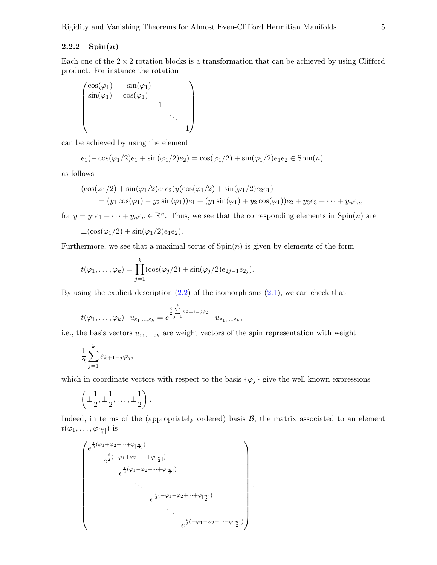## 2.2.2  $\mathrm{Spin}(n)$

Each one of the  $2 \times 2$  rotation blocks is a transformation that can be achieved by using Clifford product. For instance the rotation

$$
\begin{pmatrix}\n\cos(\varphi_1) & -\sin(\varphi_1) \\
\sin(\varphi_1) & \cos(\varphi_1) \\
 & & 1 \\
 & & & \ddots \\
 & & & & 1\n\end{pmatrix}
$$

can be achieved by using the element

$$
e_1(-\cos(\varphi_1/2)e_1 + \sin(\varphi_1/2)e_2) = \cos(\varphi_1/2) + \sin(\varphi_1/2)e_1e_2 \in \text{Spin}(n)
$$

as follows

$$
(\cos(\varphi_1/2) + \sin(\varphi_1/2)e_1e_2)y(\cos(\varphi_1/2) + \sin(\varphi_1/2)e_2e_1)
$$
  
=  $(y_1 \cos(\varphi_1) - y_2 \sin(\varphi_1))e_1 + (y_1 \sin(\varphi_1) + y_2 \cos(\varphi_1))e_2 + y_3e_3 + \cdots + y_ne_n,$ 

for  $y = y_1e_1 + \cdots + y_ne_n \in \mathbb{R}^n$ . Thus, we see that the corresponding elements in Spin(n) are

$$
\pm(\cos(\varphi_1/2)+\sin(\varphi_1/2)e_1e_2).
$$

Furthermore, we see that a maximal torus of  $Spin(n)$  is given by elements of the form

$$
t(\varphi_1,\ldots,\varphi_k)=\prod_{j=1}^k(\cos(\varphi_j/2)+\sin(\varphi_j/2)e_{2j-1}e_{2j}).
$$

By using the explicit description  $(2.2)$  of the isomorphisms  $(2.1)$ , we can check that

$$
t(\varphi_1,\ldots,\varphi_k)\cdot u_{\varepsilon_1,\ldots,\varepsilon_k}=e^{\frac{i}{2}\sum\limits_{j=1}^k\varepsilon_{k+1-j}\varphi_j}\cdot u_{\varepsilon_1,\ldots,\varepsilon_k},
$$

i.e., the basis vectors  $u_{\varepsilon_1,\dots,\varepsilon_k}$  are weight vectors of the spin representation with weight

$$
\frac{1}{2}\sum_{j=1}^{k} \varepsilon_{k+1-j}\varphi_j,
$$

which in coordinate vectors with respect to the basis  $\{\varphi_j\}$  give the well known expressions

$$
\left(\pm\frac{1}{2},\pm\frac{1}{2},\ldots,\pm\frac{1}{2}\right).
$$

Indeed, in terms of the (appropriately ordered) basis  $B$ , the matrix associated to an element  $t(\varphi_1,\ldots,\varphi_{[\frac{n}{2}]})$  is

$$
\begin{pmatrix}\n e^{\frac{i}{2}(\varphi_1 + \varphi_2 + \dots + \varphi_{[\frac{n}{2}]})} \\
 e^{\frac{i}{2}(-\varphi_1 + \varphi_2 + \dots + \varphi_{[\frac{n}{2}]})} \\
 e^{\frac{i}{2}(\varphi_1 - \varphi_2 + \dots + \varphi_{[\frac{n}{2}]})} \\
 \vdots \\
 e^{\frac{i}{2}(-\varphi_1 - \varphi_2 + \dots + \varphi_{[\frac{n}{2}]})} \\
 \vdots \\
 e^{\frac{i}{2}(-\varphi_1 - \varphi_2 - \dots - \varphi_{[\frac{n}{2}]})}\n\end{pmatrix}
$$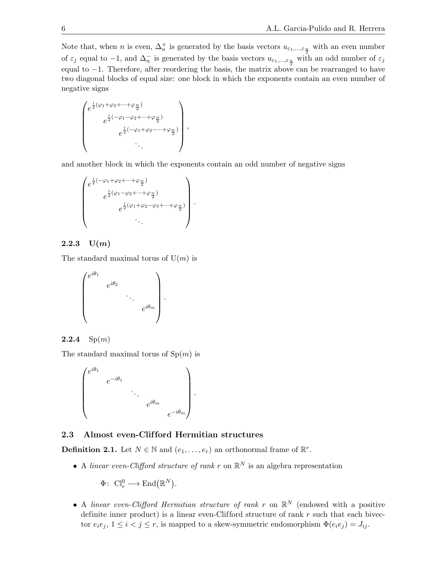Note that, when n is even,  $\Delta_n^+$  is generated by the basis vectors  $u_{\epsilon_1,\dots,\epsilon_{\frac{n}{2}}}$  with an even number of  $\varepsilon_j$  equal to  $-1$ , and  $\Delta_n^-$  is generated by the basis vectors  $u_{\varepsilon_1,\dots,\varepsilon_{\frac{n}{2}}}$  with an odd number of  $\varepsilon_j$ equal to −1. Therefore, after reordering the basis, the matrix above can be rearranged to have two diagonal blocks of equal size: one block in which the exponents contain an even number of negative signs

$$
\begin{pmatrix} e^{\frac{i}{2}(\varphi_1+\varphi_2+\cdots+\varphi_{\frac{n}{2}})}\\ e^{\frac{i}{2}(-\varphi_1-\varphi_2+\cdots+\varphi_{\frac{n}{2}})}\\ e^{\frac{i}{2}(-\varphi_1+\varphi_2-\cdots+\varphi_{\frac{n}{2}})}\\ \cdot\cdot\cdot\end{pmatrix},
$$

and another block in which the exponents contain an odd number of negative signs

$$
\begin{pmatrix} e^{\frac{i}{2}(-\varphi_1+\varphi_2+\cdots+\varphi_{\frac{n}{2}})} \\ e^{\frac{i}{2}(\varphi_1-\varphi_2+\cdots+\varphi_{\frac{n}{2}})} \\ e^{\frac{i}{2}(\varphi_1+\varphi_2-\varphi_3+\cdots+\varphi_{\frac{n}{2}})} \\ \cdot \cdot \end{pmatrix}.
$$

# 2.2.3  $U(m)$

The standard maximal torus of  $U(m)$  is

$$
\begin{pmatrix} e^{i\theta_1} & & & \\ & e^{i\theta_2} & & \\ & & \ddots & \\ & & & e^{i\theta_m} \end{pmatrix}.
$$

## **2.2.4**  $Sp(m)$

The standard maximal torus of  $Sp(m)$  is



# 2.3 Almost even-Clifford Hermitian structures

**Definition 2.1.** Let  $N \in \mathbb{N}$  and  $(e_1, \ldots, e_r)$  an orthonormal frame of  $\mathbb{R}^r$ .

• A linear even-Clifford structure of rank r on  $\mathbb{R}^N$  is an algebra representation

 $\Phi\colon\thinspace \mathrm{Cl}_r^0\longrightarrow \mathrm{End}\big(\mathbb{R}^N\big).$ 

• A linear even-Clifford Hermitian structure of rank r on  $\mathbb{R}^N$  (endowed with a positive definite inner product) is a linear even-Clifford structure of rank  $r$  such that each bivector  $e_i e_j$ ,  $1 \le i < j \le r$ , is mapped to a skew-symmetric endomorphism  $\Phi(e_i e_j) = J_{ij}$ .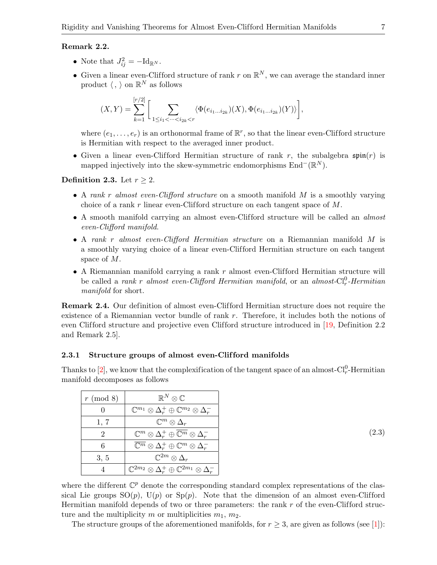## Remark 2.2.

- Note that  $J_{ij}^2 = -\mathrm{Id}_{\mathbb{R}^N}$ .
- Given a linear even-Clifford structure of rank r on  $\mathbb{R}^N$ , we can average the standard inner product  $\langle , \rangle$  on  $\mathbb{R}^N$  as follows

$$
(X,Y)=\sum_{k=1}^{[r/2]}\bigg[\sum_{1\leq i_1<\cdots
$$

where  $(e_1, \ldots, e_r)$  is an orthonormal frame of  $\mathbb{R}^r$ , so that the linear even-Clifford structure is Hermitian with respect to the averaged inner product.

• Given a linear even-Clifford Hermitian structure of rank r, the subalgebra  $\mathfrak{spin}(r)$  is mapped injectively into the skew-symmetric endomorphisms  $\text{End}^-(\mathbb{R}^N)$ .

## Definition 2.3. Let  $r \geq 2$ .

- A rank r almost even-Clifford structure on a smooth manifold M is a smoothly varying choice of a rank r linear even-Clifford structure on each tangent space of  $M$ .
- A smooth manifold carrying an almost even-Clifford structure will be called an *almost* even-Clifford manifold.
- A rank r almost even-Clifford Hermitian structure on a Riemannian manifold M is a smoothly varying choice of a linear even-Clifford Hermitian structure on each tangent space of M.
- A Riemannian manifold carrying a rank  $r$  almost even-Clifford Hermitian structure will be called a *rank r almost even-Clifford Hermitian manifold*, or an *almost-Cl*<sup>0</sup>-Hermitian manifold for short.

Remark 2.4. Our definition of almost even-Clifford Hermitian structure does not require the existence of a Riemannian vector bundle of rank r. Therefore, it includes both the notions of even Clifford structure and projective even Clifford structure introduced in [\[19,](#page-27-13) Definition 2.2] and Remark 2.5].

#### <span id="page-6-1"></span>2.3.1 Structure groups of almost even-Clifford manifolds

Thanks to [\[2\]](#page-26-3), we know that the complexification of the tangent space of an almost- $Cl_r^0$ -Hermitian manifold decomposes as follows

| $r \pmod{8}$ | $\mathbb{R}^N\otimes\mathbb{C}$                                                     |
|--------------|-------------------------------------------------------------------------------------|
|              | $\mathbb{C}^{m_1}\otimes \Delta^+_r\oplus \mathbb{C}^{m_2}\otimes \Delta^-_r$       |
| 1, 7         | $\mathbb{C}^m\otimes\Delta_r$                                                       |
| 2            | $\mathbb{C}^m \otimes \Delta_r^+ \oplus \overline{\mathbb{C}^m} \otimes \Delta_r^-$ |
| 6            | $\overline{\mathbb{C}^m}\otimes \Delta^+_r\oplus \mathbb{C}^m\otimes \Delta^-_r$    |
| 3, 5         | $\mathbb{C}^{2m}\otimes\Delta_r$                                                    |
|              | $\mathbb{C}^{2m_2}\otimes \Delta^+_r\oplus \mathbb{C}^{2m_1}\otimes \Delta^-_r$     |

<span id="page-6-0"></span>(2.3)

where the different  $\mathbb{C}^p$  denote the corresponding standard complex representations of the classical Lie groups  $SO(p)$ ,  $U(p)$  or  $Sp(p)$ . Note that the dimension of an almost even-Clifford Hermitian manifold depends of two or three parameters: the rank  $r$  of the even-Clifford structure and the multiplicity m or multiplicities  $m_1, m_2$ .

The structure groups of the aforementioned manifolds, for  $r \geq 3$ , are given as follows (see [\[1\]](#page-26-2)):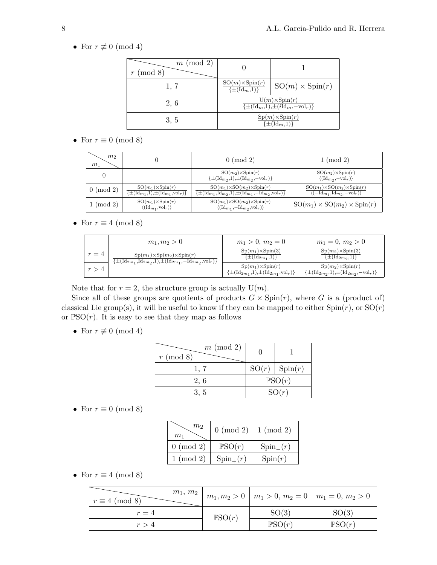• For  $r \not\equiv 0 \pmod{4}$ 

| $m \pmod{2}$<br>(mod 8) |                                                                                         |                        |
|-------------------------|-----------------------------------------------------------------------------------------|------------------------|
| 1, 7                    | $\frac{\mathrm{SO}(m)\times \mathrm{Spin}(r)}{\{\pm(\mathrm{Id}_m,1)\}}$                | $SO(m) \times Spin(r)$ |
| 2, 6                    | $U(m)\times Spin(r)$<br>$\{\pm(\mathrm{Id}_m,1),\pm(i\mathrm{Id}_m,-\mathrm{vol}_r)\}\$ |                        |
| 3, 5                    | $Sp(m)\times Spin(r)$<br>$\{\pm(\mathrm{Id}_{m},1)\}\$                                  |                        |

• For  $r \equiv 0 \pmod{8}$ 

| m <sub>2</sub><br>m <sub>1</sub> |                                                                                                  | $0 \pmod{2}$                                                                                                                                             | $1 \pmod{2}$                                                                                                        |
|----------------------------------|--------------------------------------------------------------------------------------------------|----------------------------------------------------------------------------------------------------------------------------------------------------------|---------------------------------------------------------------------------------------------------------------------|
|                                  |                                                                                                  | $SO(m_2) \times Spin(r)$<br>$\{\pm(\mathrm{Id}_{m_2},1),\pm(\mathrm{Id}_{m_2},-\mathrm{vol}_r)\}\$                                                       | $SO(m_2) \times Spin(r)$<br>$\langle (\mathrm{Id}_{m_2}, -\mathrm{vol}_r) \rangle$                                  |
| $0 \pmod{2}$                     | $SO(m_1)\times Spin(r)$<br>$\{\pm(\mathrm{Id}_{m_1},1),\pm(\mathrm{Id}_{m_1},\mathrm{vol}_r)\}\$ | $SO(m_1)\times SO(m_2)\times Spin(r)$<br>$\{\pm(\mathrm{Id}_{m_1}, \mathrm{Id}_{m_2}, 1), \pm(\mathrm{Id}_{m_1}, -\mathrm{Id}_{m_2}, \mathrm{vol}_r)\}\$ | $SO(m_1)\times SO(m_2)\times Spin(r)$<br>$\langle (-\mathrm{Id}_{m_1}, \mathrm{Id}_{m_2}, -\mathrm{vol}_r) \rangle$ |
| $1 \pmod{2}$                     | $SO(m_1)\times Spin(r)$<br>$\langle (\mathrm{Id}_{m_1}, \mathrm{vol}_r) \rangle$                 | $SO(m_1)\times SO(m_2)\times Spin(r)$<br>$\langle (\mathrm{Id}_{m_1}, -\mathrm{Id}_{m_2}, \mathrm{vol}_r) \rangle$                                       | $SO(m_1) \times SO(m_2) \times Spin(r)$                                                                             |

• For  $r \equiv 4 \pmod{8}$ 

|       | $m_1, m_2 > 0$                                                                                                                                               | $m_1 > 0, m_2 = 0$                                                                                 | $m_1 = 0, m_2 > 0$                                                                                   |
|-------|--------------------------------------------------------------------------------------------------------------------------------------------------------------|----------------------------------------------------------------------------------------------------|------------------------------------------------------------------------------------------------------|
| $r=4$ | $Sp(m_1)\times Sp(m_2)\times Spin(r)$<br>$\{\pm(\mathrm{Id}_{2m_1}, \mathrm{Id}_{2m_2}, 1), \pm(\mathrm{Id}_{2m_1}, -\mathrm{Id}_{2m_2}, \mathrm{vol}_r)\}\$ | $Sp(m_1)\times Spin(3)$<br>$\{\pm(\mathrm{Id}_{2m_1},1)\}\$                                        | $Sp(m_2) \times Spin(3)$<br>$\{\pm(\mathrm{Id}_{2m_2},1)\}\$                                         |
| r > 4 |                                                                                                                                                              | $Sp(m_1)\times Spin(r)$<br>$\{\pm(\mathrm{Id}_{2m_1},1),\pm(\mathrm{Id}_{2m_1},\mathrm{vol}_r)\}\$ | $Sp(m_2) \times Spin(r)$<br>$\{\pm(\mathrm{Id}_{2m_2},1),\pm(\mathrm{Id}_{2m_2},-\mathrm{vol}_r)\}\$ |

Note that for  $r = 2$ , the structure group is actually  $U(m)$ .

Since all of these groups are quotients of products  $G \times Spin(r)$ , where G is a (product of) classical Lie group(s), it will be useful to know if they can be mapped to either  $Spin(r)$ , or  $SO(r)$ or  $PSO(r)$ . It is easy to see that they map as follows

• For  $r \not\equiv 0 \pmod{4}$ 

| $m \pmod{2}$<br>$r \pmod{8}$ |       |                 |
|------------------------------|-------|-----------------|
| 1, 7                         |       | SO(r)   Spin(r) |
| 2, 6                         |       | PSO(r)          |
| 3, 5                         | SO(r) |                 |

• For  $r \equiv 0 \pmod{8}$ 

| m <sub>2</sub><br>$m_1$ | $0 \pmod{2}$  | $1 \pmod{2}$  |
|-------------------------|---------------|---------------|
| $0 \pmod{2}$            | PSO(r)        | $Spin_{-}(r)$ |
| $1 \pmod{2}$            | $Spin_{+}(r)$ | Spin(r)       |

• For  $r \equiv 4 \pmod{8}$ 

| $m_1, m_2$<br>$r \equiv 4 \pmod{8}$ |        | $m_1, m_2 > 0 \mid m_1 > 0, m_2 = 0 \mid m_1 = 0, m_2 > 0$ |                   |
|-------------------------------------|--------|------------------------------------------------------------|-------------------|
| $r=4$                               | PSO(r) | SO(3)                                                      | SO(3)             |
| r > 4                               |        | PSO(r)                                                     | $\mathbb{P}SO(r)$ |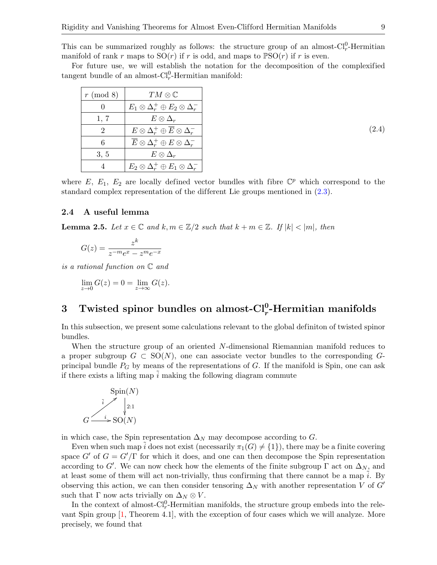This can be summarized roughly as follows: the structure group of an almost- $Cl_r^0$ -Hermitian manifold of rank r maps to  $SO(r)$  if r is odd, and maps to  $PSO(r)$  if r is even.

For future use, we will establish the notation for the decomposition of the complexified tangent bundle of an almost- $Cl_r^0$ -Hermitian manifold:

<span id="page-8-2"></span>

| (mod 8)<br>$\mathcal{r}$ | $TM\otimes\mathbb{C}$                                      |
|--------------------------|------------------------------------------------------------|
| 0                        | $E_1\otimes\Delta^+_r\oplus E_2\otimes\Delta^-_r$          |
| 1, 7                     | $E\otimes \Delta_r$                                        |
| $\overline{2}$           | $E\otimes\Delta_r^+\oplus \overline{E}\otimes\Delta_r^-$   |
| 6                        | $\overline{E}\otimes \Delta^+_r\oplus E\otimes \Delta^-_r$ |
| 3, 5                     | $E\otimes \Delta_r$                                        |
| 4                        | $E_2\otimes\Delta^+_r\oplus E_1\otimes\Delta^-_r$          |

where  $E, E_1, E_2$  are locally defined vector bundles with fibre  $\mathbb{C}^p$  which correspond to the standard complex representation of the different Lie groups mentioned in  $(2.3)$ .

### 2.4 A useful lemma

<span id="page-8-1"></span>**Lemma 2.5.** Let  $x \in \mathbb{C}$  and  $k, m \in \mathbb{Z}/2$  such that  $k + m \in \mathbb{Z}$ . If  $|k| < |m|$ , then

$$
G(z) = \frac{z^k}{z^{-m}e^x - z^m e^{-x}}
$$

is a rational function on C and

$$
\lim_{z \to 0} G(z) = 0 = \lim_{z \to \infty} G(z).
$$

# <span id="page-8-0"></span>3 Twisted spinor bundles on almost- $Cl_r^0$ -Hermitian manifolds

In this subsection, we present some calculations relevant to the global definiton of twisted spinor bundles.

When the structure group of an oriented N-dimensional Riemannian manifold reduces to a proper subgroup  $G \subset SO(N)$ , one can associate vector bundles to the corresponding  $G$ principal bundle  $P_G$  by means of the representations of G. If the manifold is Spin, one can ask if there exists a lifting map  $\tilde{i}$  making the following diagram commute



in which case, the Spin representation  $\Delta_N$  may decompose according to G.

Even when such map  $\tilde{i}$  does not exist (necessarily  $\pi_1(G) \neq \{1\}$ ), there may be a finite covering space G' of  $G = G'/\Gamma$  for which it does, and one can then decompose the Spin representation according to G'. We can now check how the elements of the finite subgroup  $\Gamma$  act on  $\Delta_N$ , and at least some of them will act non-trivially, thus confirming that there cannot be a map  $i$ . By observing this action, we can then consider tensoring  $\Delta_N$  with another representation V of G' such that  $\Gamma$  now acts trivially on  $\Delta_N \otimes V$ .

In the context of almost- $Cl_r^0$ -Hermitian manifolds, the structure group embeds into the relevant Spin group [\[1,](#page-26-2) Theorem 4.1], with the exception of four cases which we will analyze. More precisely, we found that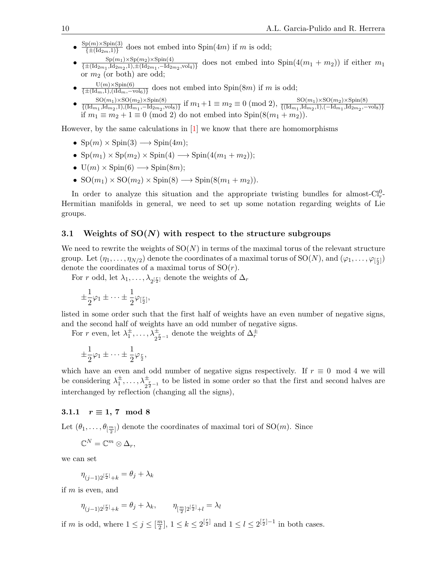- $\frac{\text{Sp}(m)\times \text{Spin}(3)}{\sqrt{1+(1+\lambda)^2}}$  does not embed into  $\text{Spin}(4m)$  if m is odd;  $\{\pm(\mathrm{Id}_{2m},1)\}$
- $\bullet \frac{{\rm Sp}(m_1)\times {\rm Sp}(m_2)\times {\rm Spin}(4)}{\sqrt{1+({\rm Id}_2\phantom{a}-{\rm Id}_2\phantom{a}})}$  $\frac{\text{Sp}(m_1)\times\text{Sp}(m_2)\times\text{Sp}(m_4)}{\{\pm (\text{Id}_{2m_1},\text{Id}_{2m_2},1),\pm (\text{Id}_{2m_1},-\text{Id}_{2m_2},\text{vol}_4)\}}$  does not embed into  $\text{Spin}(4(m_1+m_2))$  if either  $m_1$ or  $m_2$  (or both) are odd;
- ${\rm U}(m){\times}\mathrm{Spin}(6)$  $\frac{O(m)\times Spm(0)}{\{\pm(\text{Id}_m,1),(\text{Id}_m,-\text{vol}_6)\}}$  does not embed into Spin $(8m)$  if m is odd;
- $SO(m_1)\times SO(m_2)\times Spin(8)$  $\frac{\text{SO}(m_1)\times\text{SO}(m_2)\times\text{Spin}(8)}{\{(Id_{m_1},\text{Id}_{m_2},1),(Id_{m_1},-Id_{2m_2},\text{vol}_8)\}}$  if  $m_1+1\equiv m_2\equiv 0\ ({\rm mod }\ 2),\ {\frac{\text{SO}(m_1)\times\text{SO}(m_2)\times\text{Spin}(8)}{\{(Id_{m_1},\text{Id}_{m_2},1),(-\text{Id}_{m_1},\text{Id}_{2m_2},-\text{vol}_8)\}}}$ if  $m_1 \equiv m_2 + 1 \equiv 0 \pmod{2}$  do not embed into Spin(8( $m_1 + m_2$ ).

However, by the same calculations in [\[1\]](#page-26-2) we know that there are homomorphisms

- $\text{Sp}(m) \times \text{Spin}(3) \longrightarrow \text{Spin}(4m)$ ;
- $\text{Sp}(m_1) \times \text{Sp}(m_2) \times \text{Spin}(4) \longrightarrow \text{Spin}(4(m_1 + m_2));$
- $U(m) \times Spin(6) \longrightarrow Spin(8m)$ ;
- $SO(m_1) \times SO(m_2) \times Spin(8) \longrightarrow Spin(8(m_1 + m_2)).$

In order to analyze this situation and the appropriate twisting bundles for almost- $Cl_r^0$ -Hermitian manifolds in general, we need to set up some notation regarding weights of Lie groups.

## <span id="page-9-0"></span>3.1 Weights of  $SO(N)$  with respect to the structure subgroups

We need to rewrite the weights of  $SO(N)$  in terms of the maximal torus of the relevant structure group. Let  $(\eta_1, \ldots, \eta_{N/2})$  denote the coordinates of a maximal torus of  $SO(N)$ , and  $(\varphi_1, \ldots, \varphi_{[\frac{r}{2}]})$ denote the coordinates of a maximal torus of  $SO(r)$ .

For r odd, let  $\lambda_1, \ldots, \lambda_{2^{\lceil \frac{r}{2} \rceil}}$  denote the weights of  $\Delta_r$ 

$$
\pm \frac{1}{2}\varphi_1 \pm \cdots \pm \frac{1}{2}\varphi_{[\frac{r}{2}]},
$$

listed in some order such that the first half of weights have an even number of negative signs, and the second half of weights have an odd number of negative signs.

For r even, let  $\lambda_1^{\pm}, \ldots, \lambda_{2^{\frac{r}{2}-1}}^{\pm}$  denote the weights of  $\Delta_r^{\pm}$ 

$$
\pm \frac{1}{2}\varphi_1 \pm \cdots \pm \frac{1}{2}\varphi_{\frac{r}{2}},
$$

which have an even and odd number of negative signs respectively. If  $r \equiv 0 \mod 4$  we will be considering  $\lambda_1^{\pm}, \ldots, \lambda_{2^{\frac{r}{2}-1}}^{\pm}$  to be listed in some order so that the first and second halves are interchanged by reflection (changing all the signs),

#### 3.1.1  $r \equiv 1, 7 \mod 8$

Let  $(\theta_1, \ldots, \theta_{[\frac{m}{2}]})$  denote the coordinates of maximal tori of  $\mathrm{SO}(m)$ . Since

$$
\mathbb{C}^N=\mathbb{C}^m\otimes\Delta_r,
$$

we can set

$$
\eta_{(j-1)2^{\left[\frac{r}{2}\right]}+k}=\theta_j+\lambda_k
$$

if  $m$  is even, and

$$
\eta_{(j-1)2^{\lceil \frac{r}{2} \rceil}+k} = \theta_j + \lambda_k, \qquad \eta_{\lceil \frac{m}{2} \rceil 2^{\lceil \frac{r}{2} \rceil}+l} = \lambda_l
$$

if m is odd, where  $1 \leq j \leq \lceil \frac{m}{2} \rceil$  $\frac{2^{n}}{2}$ ,  $1 \leq k \leq 2^{\left[\frac{r}{2}\right]}$  and  $1 \leq l \leq 2^{\left[\frac{r}{2}\right]-1}$  in both cases.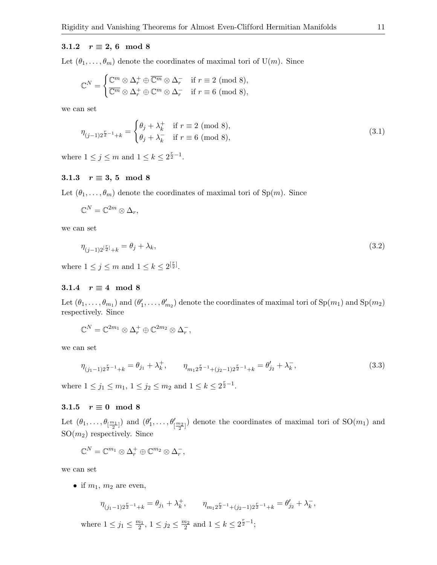## 3.1.2  $r \equiv 2, 6 \mod 8$

Let  $(\theta_1, \ldots, \theta_m)$  denote the coordinates of maximal tori of U(m). Since

$$
\mathbb{C}^N = \begin{cases} \mathbb{C}^m \otimes \Delta_r^+ \oplus \overline{\mathbb{C}^m} \otimes \Delta_r^- & \text{if } r \equiv 2 \pmod{8}, \\ \overline{\mathbb{C}^m} \otimes \Delta_r^+ \oplus \mathbb{C}^m \otimes \Delta_r^- & \text{if } r \equiv 6 \pmod{8}, \end{cases}
$$

we can set

<span id="page-10-2"></span>
$$
\eta_{(j-1)2^{\frac{r}{2}-1}+k} = \begin{cases} \theta_j + \lambda_k^+ & \text{if } r \equiv 2 \pmod{8}, \\ \theta_j + \lambda_k^- & \text{if } r \equiv 6 \pmod{8}, \end{cases}
$$
\n(3.1)

where  $1 \leq j \leq m$  and  $1 \leq k \leq 2^{\frac{r}{2}-1}$ .

### 3.1.3  $r \equiv 3, 5 \mod 8$

Let  $(\theta_1, \ldots, \theta_m)$  denote the coordinates of maximal tori of Sp $(m)$ . Since

$$
\mathbb{C}^N=\mathbb{C}^{2m}\otimes\Delta_r,
$$

we can set

<span id="page-10-0"></span>
$$
\eta_{(j-1)2^{[\frac{r}{2}]}+k} = \theta_j + \lambda_k,\tag{3.2}
$$

where  $1 \leq j \leq m$  and  $1 \leq k \leq 2^{\left[\frac{r}{2}\right]}$ .

# 3.1.4  $r \equiv 4 \mod 8$

Let  $(\theta_1,\ldots,\theta_{m_1})$  and  $(\theta'_1,\ldots,\theta'_{m_2})$  denote the coordinates of maximal tori of  $\text{Sp}(m_1)$  and  $\text{Sp}(m_2)$ respectively. Since

<span id="page-10-1"></span>
$$
\mathbb{C}^N=\mathbb{C}^{2m_1}\otimes\Delta_r^+\oplus\mathbb{C}^{2m_2}\otimes\Delta_r^-,
$$

we can set

$$
\eta_{(j_1-1)2^{\frac{r}{2}-1}+k} = \theta_{j_1} + \lambda_k^+, \qquad \eta_{m_1 2^{\frac{r}{2}-1}+(j_2-1)2^{\frac{r}{2}-1}+k} = \theta_{j_2}'+\lambda_k^-, \tag{3.3}
$$

where  $1 \le j_1 \le m_1$ ,  $1 \le j_2 \le m_2$  and  $1 \le k \le 2^{\frac{r}{2}-1}$ .

### 3.1.5  $r \equiv 0 \mod 8$

Let  $(\theta_1,\ldots,\theta_{[\frac{m_1}{2}]})$  and  $(\theta'_1,\ldots,\theta'_{[\frac{m_2}{2}]})$  denote the coordinates of maximal tori of  $\mathrm{SO}(m_1)$  and  $SO(m_2)$  respectively. Since

$$
\mathbb{C}^N=\mathbb{C}^{m_1}\otimes\Delta^+_r\oplus\mathbb{C}^{m_2}\otimes\Delta^-_r,
$$

we can set

• if  $m_1$ ,  $m_2$  are even,

$$
\eta_{(j_1-1)2^{\frac{r}{2}-1}+k} = \theta_{j_1} + \lambda_k^+, \qquad \eta_{m_1 2^{\frac{r}{2}-1}+(j_2-1)2^{\frac{r}{2}-1}+k} = \theta'_{j_2} + \lambda_k^-,
$$

where  $1 \le j_1 \le \frac{m_1}{2}$ ,  $1 \le j_2 \le \frac{m_2}{2}$  and  $1 \le k \le 2^{\frac{r}{2}-1}$ ;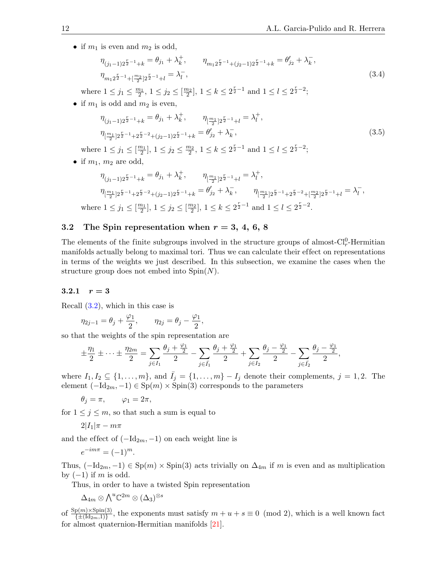• if  $m_1$  is even and  $m_2$  is odd,

<span id="page-11-1"></span>
$$
\eta_{(j_1-1)2^{\frac{r}{2}-1}+k} = \theta_{j_1} + \lambda_k^+, \qquad \eta_{m_1 2^{\frac{r}{2}-1}+(j_2-1)2^{\frac{r}{2}-1}+k} = \theta'_{j_2} + \lambda_k^-,
$$
\n
$$
\eta_{m_1 2^{\frac{r}{2}-1}+\left[\frac{m_2}{2}\right]2^{\frac{r}{2}-1}+l} = \lambda_l^-,\tag{3.4}
$$

where  $1 \leq j_1 \leq \frac{m_1}{2}$ ,  $1 \leq j_2 \leq \left[\frac{m_2}{2}\right]$ ,  $1 \leq k \leq 2^{\frac{r}{2}-1}$  and  $1 \leq l \leq 2^{\frac{r}{2}-2}$ ;

• if  $m_1$  is odd and  $m_2$  is even,

<span id="page-11-0"></span>
$$
\eta_{(j_1-1)2^{\frac{r}{2}-1}+k} = \theta_{j_1} + \lambda_k^+, \qquad \eta_{[\frac{m_1}{2}]2^{\frac{r}{2}-1}+l} = \lambda_l^+, \eta_{[\frac{m_1}{2}]2^{\frac{r}{2}-1}+2^{\frac{r}{2}-2}+(j_2-1)2^{\frac{r}{2}-1}+k} = \theta'_{j_2} + \lambda_k^-,
$$
\n(3.5)

where  $1 \leq j_1 \leq \lfloor \frac{m_1}{2} \rfloor$ ,  $1 \leq j_2 \leq \frac{m_2}{2}$ ,  $1 \leq k \leq 2^{\frac{r}{2}-1}$  and  $1 \leq l \leq 2^{\frac{r}{2}-2}$ ;

• if  $m_1$ ,  $m_2$  are odd,

$$
\begin{aligned} \eta_{(j_1-1)2^{\frac{r}{2}-1}+k}&=\theta_{j_1}+\lambda_k^+,\qquad &\eta_{[\frac{m_1}{2}]2^{\frac{r}{2}-1}+l}=\lambda_l^+,\cr &\eta_{[\frac{m_1}{2}]2^{\frac{r}{2}-1}+2^{\frac{r}{2}-2}+(j_2-1)2^{\frac{r}{2}-1}+k}&=\theta_{j_2}'+\lambda_k^-,\qquad &\eta_{[\frac{m_1}{2}]2^{\frac{r}{2}-1}+2^{\frac{r}{2}-2}+[\frac{m_2}{2}]2^{\frac{r}{2}-1}+l}&=\lambda_l^-, \cr &\text{where}\ 1\leq j_1\leq [\frac{m_1}{2}],\ 1\leq j_2\leq [\frac{m_2}{2}],\ 1\leq k\leq 2^{\frac{r}{2}-1}\ \text{and}\ 1\leq l\leq 2^{\frac{r}{2}-2}. \end{aligned}
$$

# <span id="page-11-2"></span>3.2 The Spin representation when  $r = 3, 4, 6, 8$

The elements of the finite subgroups involved in the structure groups of almost- $Cl_r^0$ -Hermitian manifolds actually belong to maximal tori. Thus we can calculate their ef fect on representations in terms of the weights we just described. In this subsection, we examine the cases when the structure group does not embed into  $Spin(N)$ .

#### 3.2.1  $r = 3$

Recall [\(3.2\)](#page-10-0), which in this case is

$$
\eta_{2j-1} = \theta_j + \frac{\varphi_1}{2}, \qquad \eta_{2j} = \theta_j - \frac{\varphi_1}{2},
$$

so that the weights of the spin representation are

$$
\pm \frac{\eta_1}{2} \pm \cdots \pm \frac{\eta_{2m}}{2} = \sum_{j \in I_1} \frac{\theta_j + \frac{\varphi_1}{2}}{2} - \sum_{j \in \bar{I_1}} \frac{\theta_j + \frac{\varphi_1}{2}}{2} + \sum_{j \in I_2} \frac{\theta_j - \frac{\varphi_1}{2}}{2} - \sum_{j \in \bar{I_2}} \frac{\theta_j - \frac{\varphi_1}{2}}{2},
$$

where  $I_1, I_2 \subseteq \{1, \ldots, m\}$ , and  $\bar{I}_j = \{1, \ldots, m\} - I_j$  denote their complements,  $j = 1, 2$ . The element  $(-Id_{2m}, -1) \in \text{Sp}(m) \times \text{Spin}(3)$  corresponds to the parameters

 $\theta_i = \pi$ ,  $\varphi_1 = 2\pi$ ,

for  $1 \leq j \leq m$ , so that such a sum is equal to

$$
2|I_1|\pi-m\pi
$$

and the effect of  $(-Id_{2m}, -1)$  on each weight line is

$$
e^{-im\pi} = (-1)^m.
$$

Thus,  $(-Id_{2m}, -1) \in Sp(m) \times Spin(3)$  acts trivially on  $\Delta_{4m}$  if m is even and as multiplication by  $(-1)$  if m is odd.

Thus, in order to have a twisted Spin representation

$$
\Delta_{4m}\otimes{\textstyle\bigwedge}^u{\mathbb C}^{2m}\otimes(\Delta_3)^{\otimes s}
$$

of  $\frac{\text{Sp}(m)\times\text{Spin}(3)}{\{\pm(\text{Id}_{2m},1)\}}$ , the exponents must satisfy  $m+u+s\equiv 0 \pmod{2}$ , which is a well known fact for almost quaternion-Hermitian manifolds [\[21\]](#page-27-14).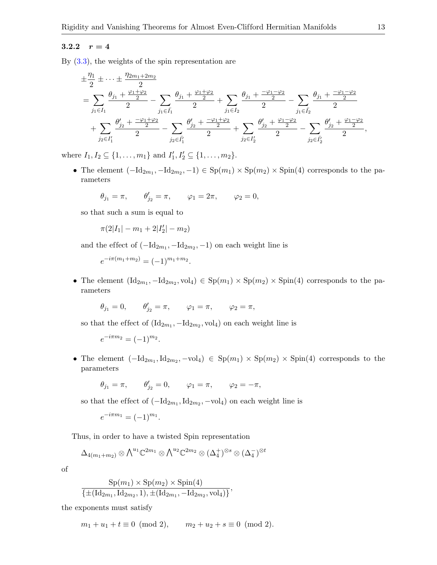# 3.2.2  $r = 4$

By  $(3.3)$ , the weights of the spin representation are

$$
\begin{aligned} &\pm \frac{\eta_1}{2}\pm \cdots \pm \frac{\eta_{2m_1+2m_2}}{2}\\ &=\sum_{j_1\in I_1} \frac{\theta_{j_1}+\frac{\varphi_1+\varphi_2}{2}}{2}-\sum_{j_1\in \bar{I_1}} \frac{\theta_{j_1}+\frac{\varphi_1+\varphi_2}{2}}{2}+\sum_{j_1\in I_2} \frac{\theta_{j_1}+\frac{-\varphi_1-\varphi_2}{2}}{2}-\sum_{j_1\in \bar{I_2}} \frac{\theta_{j_1}+\frac{-\varphi_1-\varphi_2}{2}}{2}\\ &\quad+\sum_{j_2\in I_1'} \frac{\theta_{j_2'}'+\frac{-\varphi_1+\varphi_2}{2}}{2}-\sum_{j_2\in \bar{I_1'}} \frac{\theta_{j_2'}'+\frac{-\varphi_1+\varphi_2}{2}}{2}+\sum_{j_2\in I_2'} \frac{\theta_{j_2}'+\frac{\varphi_1-\varphi_2}{2}}{2}-\sum_{j_2\in \bar{I_2'}} \frac{\theta_{j_2}'+\frac{\varphi_1-\varphi_2}{2}}{2}, \end{aligned}
$$

where  $I_1, I_2 \subseteq \{1, ..., m_1\}$  and  $I'_1, I'_2 \subseteq \{1, ..., m_2\}$ .

• The element  $(-Id_{2m_1}, -Id_{2m_2}, -1) \in \mathrm{Sp}(m_1) \times \mathrm{Sp}(m_2) \times \mathrm{Spin}(4)$  corresponds to the parameters

$$
\theta_{j_1}=\pi,\qquad \theta'_{j_2}=\pi,\qquad \varphi_1=2\pi,\qquad \varphi_2=0,
$$

so that such a sum is equal to

$$
\pi(2|I_1|-m_1+2|I'_2|-m_2)
$$

and the effect of  $(-Id_{2m_1}, -Id_{2m_2}, -1)$  on each weight line is

$$
e^{-i\pi(m_1+m_2)} = (-1)^{m_1+m_2}.
$$

• The element  $(\mathrm{Id}_{2m_1}, -\mathrm{Id}_{2m_2}, \mathrm{vol}_4) \in \mathrm{Sp}(m_1) \times \mathrm{Sp}(m_2) \times \mathrm{Spin}(4)$  corresponds to the parameters

$$
\theta_{j_1} = 0, \qquad \theta'_{j_2} = \pi, \qquad \varphi_1 = \pi, \qquad \varphi_2 = \pi,
$$

so that the effect of  $(\mathrm{Id}_{2m_1}, -\mathrm{Id}_{2m_2}, \mathrm{vol}_4)$  on each weight line is

$$
e^{-i\pi m_2} = (-1)^{m_2}.
$$

• The element  $(-Id_{2m_1}, Id_{2m_2}, -vol_4) \in Sp(m_1) \times Sp(m_2) \times Spin(4)$  corresponds to the parameters

$$
\theta_{j_1} = \pi, \qquad \theta'_{j_2} = 0, \qquad \varphi_1 = \pi, \qquad \varphi_2 = -\pi,
$$

so that the effect of  $(-Id_{2m_1}, Id_{2m_2}, -vol_4)$  on each weight line is

$$
e^{-i\pi m_1} = (-1)^{m_1}.
$$

Thus, in order to have a twisted Spin representation

$$
\Delta_{4(m_1+m_2)} \otimes \bigwedge^{u_1} \mathbb{C}^{2m_1} \otimes \bigwedge^{u_2} \mathbb{C}^{2m_2} \otimes (\Delta_4^+)^{\otimes s} \otimes (\Delta_4^-)^{\otimes t}
$$

of

$$
\frac{\text{Sp}(m_1) \times \text{Sp}(m_2) \times \text{Spin}(4)}{\{\pm (\text{Id}_{2m_1}, \text{Id}_{2m_2}, 1), \pm (\text{Id}_{2m_1}, -\text{Id}_{2m_2}, \text{vol}_4)\}},
$$

the exponents must satisfy

$$
m_1 + u_1 + t \equiv 0 \pmod{2}, \qquad m_2 + u_2 + s \equiv 0 \pmod{2}.
$$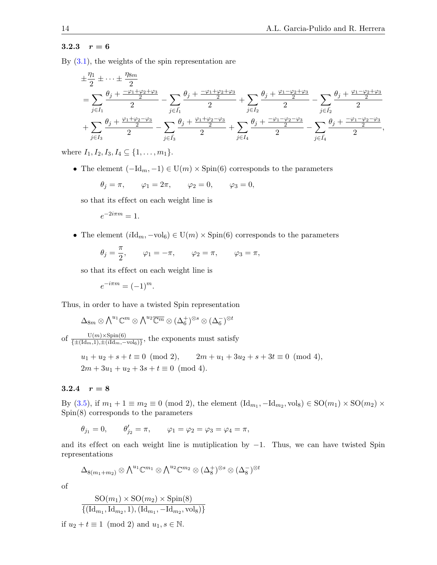### 3.2.3  $r = 6$

By  $(3.1)$ , the weights of the spin representation are

$$
\begin{split} &\pm \frac{\eta_{1}}{2}\pm \cdots \pm \frac{\eta_{8m}}{2}\\ &=\sum_{j\in I_{1}}\frac{\theta_{j}+\frac{-\varphi_{1}+\varphi_{2}+\varphi_{3}}{2}}{2}-\sum_{j\in \bar{I_{1}}}\frac{\theta_{j}+\frac{-\varphi_{1}+\varphi_{2}+\varphi_{3}}{2}}{2}+\sum_{j\in I_{2}}\frac{\theta_{j}+\frac{\varphi_{1}-\varphi_{2}+\varphi_{3}}{2}}{2}-\sum_{j\in \bar{I_{2}}}\frac{\theta_{j}+\frac{\varphi_{1}-\varphi_{2}+\varphi_{3}}{2}}{2}\\ &+\sum_{j\in I_{3}}\frac{\theta_{j}+\frac{\varphi_{1}+\varphi_{2}-\varphi_{3}}{2}}{2}-\sum_{j\in \bar{I_{3}}}\frac{\theta_{j}+\frac{\varphi_{1}+\varphi_{2}-\varphi_{3}}{2}}{2}+\sum_{j\in I_{4}}\frac{\theta_{j}+\frac{-\varphi_{1}-\varphi_{2}-\varphi_{3}}{2}}{2}-\sum_{j\in \bar{I_{4}}}\frac{\theta_{j}+\frac{-\varphi_{1}-\varphi_{2}-\varphi_{3}}{2}}{2}, \end{split}
$$

where  $I_1, I_2, I_3, I_4 \subseteq \{1, \ldots, m_1\}.$ 

• The element  $(-Id_m, -1) \in U(m) \times Spin(6)$  corresponds to the parameters

$$
\theta_j = \pi, \qquad \varphi_1 = 2\pi, \qquad \varphi_2 = 0, \qquad \varphi_3 = 0,
$$

so that its ef fect on each weight line is

$$
e^{-2i\pi m} = 1.
$$

• The element  $(i\text{Id}_m, -\text{vol}_6) \in U(m) \times Spin(6)$  corresponds to the parameters

$$
\theta_j = \frac{\pi}{2}
$$
,  $\varphi_1 = -\pi$ ,  $\varphi_2 = \pi$ ,  $\varphi_3 = \pi$ ,

so that its ef fect on each weight line is

$$
e^{-i\pi m} = (-1)^m.
$$

Thus, in order to have a twisted Spin representation

$$
\Delta_{8m} \otimes \bigwedge^{u_1} \mathbb{C}^m \otimes \bigwedge^{u_2} \overline{\mathbb{C}^m} \otimes (\Delta_6^+)^{\otimes s} \otimes (\Delta_6^-)^{\otimes t}
$$
  
of  $\frac{\mathrm{U}(m) \times \mathrm{Spin}(6)}{\{\pm (\mathrm{Id}_m, 1), \pm (i \mathrm{Id}_m, -\mathrm{vol}_6)\}},$  the exponents must satisfy  
 $u_1 + u_2 + s + t \equiv 0 \pmod{2},$   $2m + u_1 + 3u_2 + s + 3t \equiv 0 \pmod{4},$   
 $2m + 3u_1 + u_2 + 3s + t \equiv 0 \pmod{4}.$ 

# 3.2.4  $r = 8$

By [\(3.5\)](#page-11-0), if  $m_1 + 1 \equiv m_2 \equiv 0 \pmod{2}$ , the element  $(\text{Id}_{m_1}, -\text{Id}_{m_2}, \text{vol}_8) \in \text{SO}(m_1) \times \text{SO}(m_2) \times$ Spin(8) corresponds to the parameters

 $\theta_{j_1} = 0, \qquad \theta'_{j_2} = \pi, \qquad \varphi_1 = \varphi_2 = \varphi_3 = \varphi_4 = \pi,$ 

and its effect on each weight line is mutiplication by  $-1$ . Thus, we can have twisted Spin representations

$$
\Delta_{8(m_1+m_2)}\otimes {\textstyle\bigwedge}^{u_1}\mathbb{C}^{m_1}\otimes {\textstyle\bigwedge}^{u_2}\mathbb{C}^{m_2}\otimes (\Delta_8^+)^{\otimes s}\otimes (\Delta_8^-)^{\otimes t}
$$

of

$$
\frac{\text{SO}(m_1) \times \text{SO}(m_2) \times \text{Spin}(8)}{\{(\text{Id}_{m_1}, \text{Id}_{m_2}, 1), (\text{Id}_{m_1}, -\text{Id}_{m_2}, \text{vol}_8)\}}
$$

if  $u_2 + t \equiv 1 \pmod{2}$  and  $u_1, s \in \mathbb{N}$ .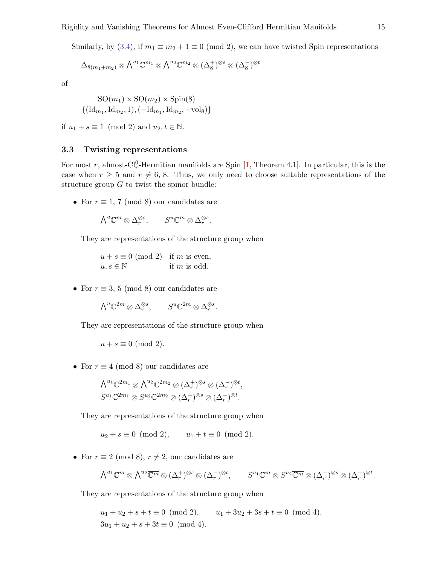Similarly, by [\(3.4\)](#page-11-1), if  $m_1 \equiv m_2 + 1 \equiv 0 \pmod{2}$ , we can have twisted Spin representations

$$
\Delta_{8(m_1+m_2)}\otimes\bigwedge^{u_1}\mathbb{C}^{m_1}\otimes \bigwedge^{u_2}\mathbb{C}^{m_2}\otimes(\Delta_8^+)^{\otimes s}\otimes(\Delta_8^-)^{\otimes t}
$$

of

$$
\frac{\text{SO}(m_1) \times \text{SO}(m_2) \times \text{Spin}(8)}{\{( \text{Id}_{m_1}, \text{Id}_{m_2}, 1), (-\text{Id}_{m_1}, \text{Id}_{m_2}, -\text{vol}_8) \}}
$$

if  $u_1 + s \equiv 1 \pmod{2}$  and  $u_2, t \in \mathbb{N}$ .

# <span id="page-14-0"></span>3.3 Twisting representations

For most r, almost- $Cl_r^0$ -Hermitian manifolds are Spin [\[1,](#page-26-2) Theorem 4.1]. In particular, this is the case when  $r \geq 5$  and  $r \neq 6, 8$ . Thus, we only need to choose suitable representations of the structure group  $G$  to twist the spinor bundle:

• For  $r \equiv 1, 7 \pmod{8}$  our candidates are

$$
{\textstyle\bigwedge}^u\mathbb{C}^m\otimes\Delta_r^{\otimes s},\qquad S^u\mathbb{C}^m\otimes\Delta_r^{\otimes s}.
$$

They are representations of the structure group when

 $u + s \equiv 0 \pmod{2}$  if m is even,  $u, s \in \mathbb{N}$  if m is odd.

• For  $r \equiv 3, 5 \pmod{8}$  our candidates are

$$
\textstyle \bigwedge^u\mathbb{C}^{2m}\otimes\Delta_r^{\otimes s},\qquad S^u\mathbb{C}^{2m}\otimes\Delta_r^{\otimes s}.
$$

They are representations of the structure group when

$$
u + s \equiv 0 \pmod{2}.
$$

• For  $r \equiv 4 \pmod{8}$  our candidates are

$$
\begin{aligned}\n\bigwedge^{u_1}\mathbb{C}^{2m_1}\otimes\bigwedge^{u_2}\mathbb{C}^{2m_2}\otimes(\Delta_r^+)\otimes^s\otimes(\Delta_r^-)^{\otimes t},\\
S^{u_1}\mathbb{C}^{2m_1}\otimes S^{u_2}\mathbb{C}^{2m_2}\otimes(\Delta_r^+)\otimes^s\otimes(\Delta_r^-)^{\otimes t}.\n\end{aligned}
$$

They are representations of the structure group when

$$
u_2 + s \equiv 0 \pmod{2}, \qquad u_1 + t \equiv 0 \pmod{2}.
$$

• For  $r \equiv 2 \pmod{8}$ ,  $r \neq 2$ , our candidates are

$$
\textstyle \bigwedge^{u_1} \mathbb{C}^m \otimes \bigwedge^{u_2} \overline{\mathbb{C}^m} \otimes (\Delta_r^+)^{\otimes s} \otimes (\Delta_r^-)^{\otimes t}, \qquad S^{u_1} \mathbb{C}^m \otimes S^{u_2} \overline{\mathbb{C}^m} \otimes (\Delta_r^+)^{\otimes s} \otimes (\Delta_r^-)^{\otimes t}.
$$

They are representations of the structure group when

 $u_1 + u_2 + s + t \equiv 0 \pmod{2}, \qquad u_1 + 3u_2 + 3s + t \equiv 0 \pmod{4},$  $3u_1 + u_2 + s + 3t \equiv 0 \pmod{4}$ .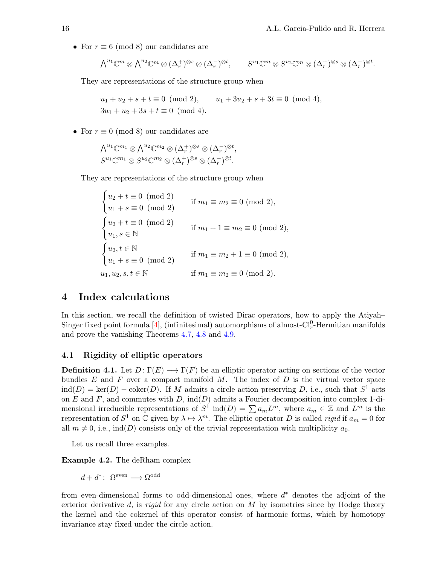• For  $r \equiv 6 \pmod{8}$  our candidates are

$$
\textstyle \bigwedge^{u_1} \mathbb{C}^m \otimes \bigwedge^{u_2} \overline{\mathbb{C}^m} \otimes (\Delta_r^+)^{\otimes s} \otimes (\Delta_r^-)^{\otimes t}, \qquad S^{u_1} \mathbb{C}^m \otimes S^{u_2} \overline{\mathbb{C}^m} \otimes (\Delta_r^+)^{\otimes s} \otimes (\Delta_r^-)^{\otimes t}.
$$

They are representations of the structure group when

 $u_1 + u_2 + s + t \equiv 0 \pmod{2}, \qquad u_1 + 3u_2 + s + 3t \equiv 0 \pmod{4},$  $3u_1 + u_2 + 3s + t \equiv 0 \pmod{4}$ .

• For  $r \equiv 0 \pmod{8}$  our candidates are

$$
\begin{aligned}\n\bigwedge^{u_1}\mathbb{C}^{m_1}\otimes\bigwedge^{u_2}\mathbb{C}^{m_2}\otimes(\Delta_r^+)\otimes^s\otimes(\Delta_r^-)^{\otimes t},\\
S^{u_1}\mathbb{C}^{m_1}\otimes S^{u_2}\mathbb{C}^{m_2}\otimes(\Delta_r^+)\otimes^s\otimes(\Delta_r^-)^{\otimes t}.\n\end{aligned}
$$

They are representations of the structure group when

 $\int u_2 + t \equiv 0 \pmod{2}$  $u_1 + s \equiv 0 \pmod{2}$ if  $m_1 \equiv m_2 \equiv 0 \pmod{2}$ ,  $\int u_2 + t \equiv 0 \pmod{2}$  $u_1, s \in \mathbb{N}$  if  $m_1 + 1 \equiv m_2 \equiv 0 \pmod{2}$ ,  $\int u_2, t \in \mathbb{N}$  $u_1 + s \equiv 0 \pmod{2}$ if  $m_1 \equiv m_2 + 1 \equiv 0 \pmod{2}$ , if  $m_1 \equiv m_2 \equiv 0 \pmod{2}$ .

# <span id="page-15-0"></span>4 Index calculations

In this section, we recall the definition of twisted Dirac operators, how to apply the Atiyah– Singer fixed point formula [\[4\]](#page-26-4), (infinitesimal) automorphisms of almost- $Cl_r^0$ -Hermitian manifolds and prove the vanishing Theorems [4.7,](#page-21-0) [4.8](#page-23-0) and [4.9.](#page-24-0)

## 4.1 Rigidity of elliptic operators

**Definition 4.1.** Let  $D: \Gamma(E) \longrightarrow \Gamma(F)$  be an elliptic operator acting on sections of the vector bundles  $E$  and  $F$  over a compact manifold  $M$ . The index of  $D$  is the virtual vector space  $\text{ind}(D) = \text{ker}(D) - \text{coker}(D)$ . If M admits a circle action preserving D, i.e., such that  $S^1$  acts on  $E$  and  $F$ , and commutes with  $D$ , ind $(D)$  admits a Fourier decomposition into complex 1-dimensional irreducible representations of  $S^1$  ind $(D) = \sum a_m L^m$ , where  $a_m \in \mathbb{Z}$  and  $L^m$  is the representation of  $S^1$  on  $\mathbb C$  given by  $\lambda \mapsto \lambda^m$ . The elliptic operator D is called rigid if  $a_m = 0$  for all  $m \neq 0$ , i.e., ind(D) consists only of the trivial representation with multiplicity  $a_0$ .

Let us recall three examples.

Example 4.2. The deRham complex

$$
d + d^* \colon \Omega^{\text{even}} \longrightarrow \Omega^{\text{odd}}
$$

from even-dimensional forms to odd-dimensional ones, where  $d^*$  denotes the adjoint of the exterior derivative d, is rigid for any circle action on  $M$  by isometries since by Hodge theory the kernel and the cokernel of this operator consist of harmonic forms, which by homotopy invariance stay fixed under the circle action.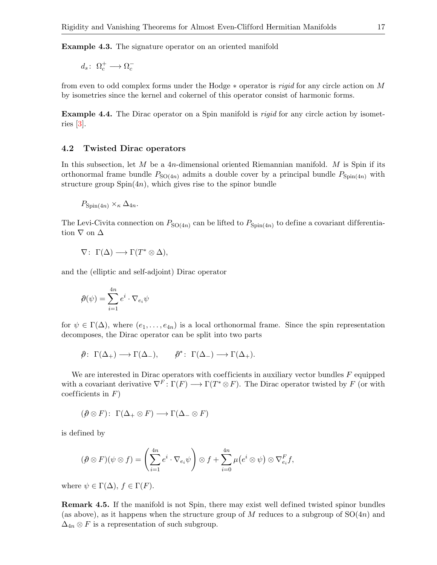Example 4.3. The signature operator on an oriented manifold

 $d_s: \ \Omega_c^+ \longrightarrow \Omega_c^-$ 

from even to odd complex forms under the Hodge ∗ operator is rigid for any circle action on M by isometries since the kernel and cokernel of this operator consist of harmonic forms.

**Example 4.4.** The Dirac operator on a Spin manifold is *rigid* for any circle action by isometries [\[3\]](#page-26-0).

#### 4.2 Twisted Dirac operators

In this subsection, let  $M$  be a 4n-dimensional oriented Riemannian manifold.  $M$  is Spin if its orthonormal frame bundle  $P_{SO(4n)}$  admits a double cover by a principal bundle  $P_{Spin(4n)}$  with structure group  $Spin(4n)$ , which gives rise to the spinor bundle

$$
P_{\text{Spin}(4n)} \times_{\kappa} \Delta_{4n}.
$$

The Levi-Civita connection on  $P_{\text{SO}(4n)}$  can be lifted to  $P_{\text{Spin}(4n)}$  to define a covariant differentiation  $\nabla$  on  $\Delta$ 

$$
\nabla: \ \Gamma(\Delta) \longrightarrow \Gamma(T^* \otimes \Delta),
$$

and the (elliptic and self-adjoint) Dirac operator

$$
\hat{\rho}(\psi) = \sum_{i=1}^{4n} e^i \cdot \nabla_{e_i} \psi
$$

for  $\psi \in \Gamma(\Delta)$ , where  $(e_1, \ldots, e_{4n})$  is a local orthonormal frame. Since the spin representation decomposes, the Dirac operator can be split into two parts

$$
\hat{\rho}\colon \Gamma(\Delta_+) \longrightarrow \Gamma(\Delta_-), \qquad \hat{\rho}^*\colon \Gamma(\Delta_-) \longrightarrow \Gamma(\Delta_+).
$$

We are interested in Dirac operators with coefficients in auxiliary vector bundles  $F$  equipped with a covariant derivative  $\nabla^F\colon \Gamma(F) \longrightarrow \Gamma(T^*\otimes F)$ . The Dirac operator twisted by F (or with coefficients in  $F$ )

$$
(\mathcal{P} \otimes F) \colon \Gamma(\Delta_+ \otimes F) \longrightarrow \Gamma(\Delta_- \otimes F)
$$

is defined by

$$
(\partial \otimes F)(\psi \otimes f) = \left(\sum_{i=1}^{4n} e^{i} \cdot \nabla_{e_i} \psi\right) \otimes f + \sum_{i=0}^{4n} \mu(e^i \otimes \psi) \otimes \nabla_{e_i}^F f,
$$

where  $\psi \in \Gamma(\Delta)$ ,  $f \in \Gamma(F)$ .

Remark 4.5. If the manifold is not Spin, there may exist well defined twisted spinor bundles (as above), as it happens when the structure group of  $M$  reduces to a subgroup of  $SO(4n)$  and  $\Delta_{4n} \otimes F$  is a representation of such subgroup.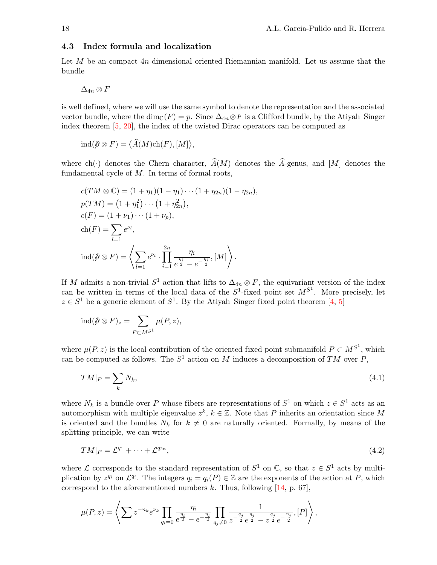# <span id="page-17-0"></span>4.3 Index formula and localization

Let M be an compact  $4n$ -dimensional oriented Riemannian manifold. Let us assume that the bundle

$$
\Delta_{4n}\otimes F
$$

is well defined, where we will use the same symbol to denote the representation and the associated vector bundle, where the  $\dim_{\mathbb{C}}(F) = p$ . Since  $\Delta_{4n} \otimes F$  is a Clifford bundle, by the Atiyah–Singer index theorem [\[5,](#page-26-5) [20\]](#page-27-15), the index of the twisted Dirac operators can be computed as

$$
\mathrm{ind}(\hat{\rho}\otimes F)=\big\langle \widehat{A}(M)\mathrm{ch}(F),[M]\big\rangle,
$$

where ch(·) denotes the Chern character,  $\widehat{A}(M)$  denotes the  $\widehat{A}$ -genus, and [M] denotes the fundamental cycle of  $M$ . In terms of formal roots,

$$
c(TM \otimes \mathbb{C}) = (1 + \eta_1)(1 - \eta_1) \cdots (1 + \eta_{2n})(1 - \eta_{2n}),
$$
  
\n
$$
p(TM) = (1 + \eta_1^2) \cdots (1 + \eta_{2n}^2),
$$
  
\n
$$
c(F) = (1 + \nu_1) \cdots (1 + \nu_p),
$$
  
\n
$$
ch(F) = \sum_{l=1}^{\infty} e^{\nu_l},
$$
  
\n
$$
ind(\hat{\rho} \otimes F) = \left\langle \sum_{l=1}^{\infty} e^{\nu_l} \cdot \prod_{i=1}^{2n} \frac{\eta_i}{e^{\frac{\eta_i}{2}} - e^{-\frac{\eta_i}{2}}}, [M] \right\rangle.
$$

If M admits a non-trivial  $S^1$  action that lifts to  $\Delta_{4n} \otimes F$ , the equivariant version of the index can be written in terms of the local data of the  $S^1$ -fixed point set  $M^{S^1}$ . More precisely, let  $z \in S^1$  be a generic element of  $S^1$ . By the Atiyah–Singer fixed point theorem [\[4,](#page-26-4) [5\]](#page-26-5)

$$
\operatorname{ind}(\hat{\rho} \otimes F)_z = \sum_{P \subset M^{S^1}} \mu(P, z),
$$

where  $\mu(P, z)$  is the local contribution of the oriented fixed point submanifold  $P \subset M^{S^1}$ , which can be computed as follows. The  $S^1$  action on M induces a decomposition of TM over P,

<span id="page-17-1"></span>
$$
TM|_P = \sum_k N_k,\tag{4.1}
$$

where  $N_k$  is a bundle over P whose fibers are representations of  $S^1$  on which  $z \in S^1$  acts as an automorphism with multiple eigenvalue  $z^k, k \in \mathbb{Z}$ . Note that P inherits an orientation since M is oriented and the bundles  $N_k$  for  $k \neq 0$  are naturally oriented. Formally, by means of the splitting principle, we can write

<span id="page-17-2"></span>
$$
TM|_P = \mathcal{L}^{q_1} + \dots + \mathcal{L}^{q_{2n}},\tag{4.2}
$$

where  $\mathcal L$  corresponds to the standard representation of  $S^1$  on  $\mathbb C$ , so that  $z \in S^1$  acts by multiplication by  $z^{q_i}$  on  $\mathcal{L}^{q_i}$ . The integers  $q_i = q_i(P) \in \mathbb{Z}$  are the exponents of the action at P, which correspond to the aforementioned numbers k. Thus, following  $[14, p. 67]$ ,

$$
\mu(P, z) = \left\langle \sum z^{-n_k} e^{\nu_k} \prod_{q_i=0} \frac{\eta_i}{e^{\frac{\eta_i}{2}} - e^{-\frac{\eta_i}{2}}} \prod_{q_j \neq 0} \frac{1}{z^{-\frac{q_j}{2}} e^{\frac{\eta_j}{2}} - z^{\frac{q_j}{2}} e^{-\frac{\eta_j}{2}}}, [P] \right\rangle,
$$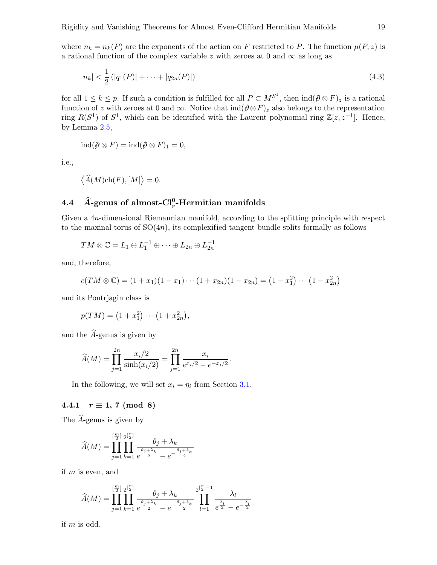where  $n_k = n_k(P)$  are the exponents of the action on F restricted to P. The function  $\mu(P, z)$  is a rational function of the complex variable z with zeroes at 0 and  $\infty$  as long as

<span id="page-18-0"></span>
$$
|n_k| < \frac{1}{2} \left( |q_1(P)| + \dots + |q_{2n}(P)| \right) \tag{4.3}
$$

for all  $1 \leq k \leq p$ . If such a condition is fulfilled for all  $P \subset M^{S^1}$ , then  $\text{ind}(\hat{\rho} \otimes F)_z$  is a rational function of z with zeroes at 0 and ∞. Notice that  $\text{ind}(\hat{\theta}\otimes F)_z$  also belongs to the representation ring  $R(S^1)$  of  $S^1$ , which can be identified with the Laurent polynomial ring  $\mathbb{Z}[z, z^{-1}]$ . Hence, by Lemma [2.5,](#page-8-1)

$$
ind(\hat{\rho} \otimes F) = ind(\hat{\rho} \otimes F)_1 = 0,
$$

i.e.,

$$
\langle \widehat{A}(M)\mathrm{ch}(F), [M] \rangle = 0.
$$

# 4.4  $\widehat{A}$ -genus of almost-Cl<sub>r</sub><sup>0</sup>-Hermitian manifolds

Given a 4n-dimensional Riemannian manifold, according to the splitting principle with respect to the maxinal torus of  $SO(4n)$ , its complexified tangent bundle splits formally as follows

$$
TM \otimes \mathbb{C} = L_1 \oplus L_1^{-1} \oplus \cdots \oplus L_{2n} \oplus L_{2n}^{-1}
$$

and, therefore,

$$
c(TM \otimes \mathbb{C}) = (1+x_1)(1-x_1)\cdots(1+x_{2n})(1-x_{2n}) = (1-x_1^2)\cdots(1-x_{2n}^2)
$$

and its Pontrjagin class is

$$
p(TM) = (1 + x_1^2) \cdots (1 + x_{2n}^2),
$$

and the  $\widehat{A}$ -genus is given by

$$
\widehat{A}(M) = \prod_{j=1}^{2n} \frac{x_i/2}{\sinh(x_i/2)} = \prod_{j=1}^{2n} \frac{x_i}{e^{x_i/2} - e^{-x_i/2}}.
$$

In the following, we will set  $x_i = \eta_i$  from Section [3.1.](#page-9-0)

# 4.4.1  $r \equiv 1, 7 \pmod{8}$

The  $\widehat{A}$ -genus is given by

$$
\widehat{A}(M) = \prod_{j=1}^{\left[\frac{m}{2}\right]} \prod_{k=1}^{2^{\left[\frac{r}{2}\right]}} \frac{\theta_j + \lambda_k}{e^{\frac{\theta_j + \lambda_k}{2}} - e^{-\frac{\theta_j + \lambda_k}{2}}}
$$

if  $m$  is even, and

$$
\widehat{A}(M) = \prod_{j=1}^{\left[\frac{m}{2}\right]} \prod_{k=1}^{2^{\left[\frac{r}{2}\right]}} \frac{\theta_j + \lambda_k}{e^{\frac{\theta_j + \lambda_k}{2}} - e^{-\frac{\theta_j + \lambda_k}{2}}} \prod_{l=1}^{2^{\left[\frac{r}{2}\right]-1}} \frac{\lambda_l}{e^{\frac{\lambda_l}{2}} - e^{-\frac{\lambda_l}{2}}}
$$

if m is odd.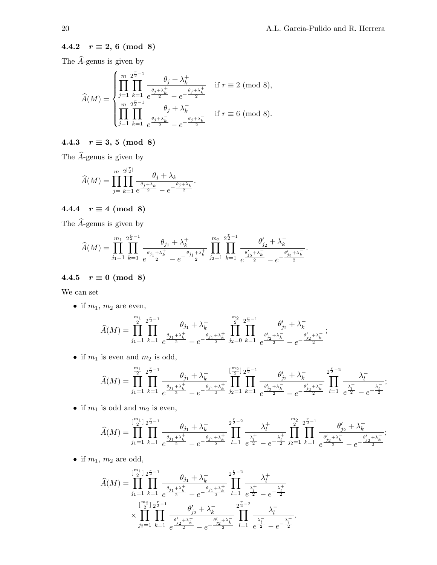# 4.4.2  $r \equiv 2, 6 \pmod{8}$

The  $\widehat{A}$ -genus is given by

$$
\widehat{A}(M) = \begin{cases}\n\prod_{j=1}^{m} \prod_{k=1}^{2^{\frac{r}{2}-1}} \frac{\theta_j + \lambda_k^+}{e^{\frac{\theta_j + \lambda_k^+}{2}} - e^{-\frac{\theta_j + \lambda_k^+}{2}}} & \text{if } r \equiv 2 \pmod{8}, \\
\prod_{j=1}^{m} \prod_{k=1}^{2^{\frac{r}{2}-1}} \frac{\theta_j + \lambda_k^-}{e^{\frac{\theta_j + \lambda_k^-}{2}} - e^{-\frac{\theta_j + \lambda_k^-}{2}}} & \text{if } r \equiv 6 \pmod{8}.\n\end{cases}
$$

# 4.4.3  $r \equiv 3, 5 \pmod{8}$

The  $\widehat{A}\text{-genus}$  is given by

$$
\widehat{A}(M) = \prod_{j=k+1}^{m} \prod_{\substack{\ell \ j \neq \lambda_k}}^{\lfloor \frac{p}{2} \rfloor} \frac{\theta_j + \lambda_k}{\frac{\theta_j + \lambda_k}{2} - e^{-\frac{\theta_j + \lambda_k}{2}}}.
$$

# 4.4.4  $r \equiv 4 \pmod{8}$

The  $\widehat{A}$ -genus is given by

$$
\widehat{A}(M) = \prod_{j_1=1}^{m_1} \prod_{k=1}^{2^{\frac{r}{2}-1}} \frac{\theta_{j_1} + \lambda_k^+}{e^{\frac{\theta_{j_1} + \lambda_k^+}{2}} - e^{-\frac{\theta_{j_1} + \lambda_k^+}{2}}}\prod_{j_2=1}^{m_2} \prod_{k=1}^{2^{\frac{r}{2}-1}} \frac{\theta_{j_2}^{\prime} + \lambda_k^-}{e^{\frac{\theta_{j_2}^{\prime} + \lambda_k^-}{2}} - e^{-\frac{\theta_{j_2}^{\prime} + \lambda_k^-}{2}}}.
$$

# 4.4.5  $r \equiv 0 \pmod{8}$

We can set

• if  $m_1$ ,  $m_2$  are even,

$$
\widehat{A}(M) = \prod_{j_1=1}^{\frac{m_1}{2}} \prod_{k=1}^{2^{\frac{r}{2}-1}} \frac{\theta_{j_1} + \lambda_k^+}{e^{\frac{\theta_{j_1} + \lambda_k^+}{2}} - e^{-\frac{\theta_{j_1} + \lambda_k^+}{2}}}\prod_{j_2=0}^{\frac{m_2}{2}} \prod_{k=1}^{2^{\frac{r}{2}-1}} \frac{\theta_{j_2}'+\lambda_k^-}{e^{\frac{\theta_{j_2}'+\lambda_k^-}{2}} - e^{-\frac{\theta_{j_2}'+\lambda_k^-}{2}}};
$$

• if  $m_1$  is even and  $m_2$  is odd,

$$
\widehat{A}(M) = \prod_{j_1=1}^{\frac{m_1}{2}} \prod_{k=1}^{2^{\frac{r}{2}-1}} \frac{\theta_{j_1} + \lambda_k^+}{e^{\frac{\theta_{j_1} + \lambda_k^+}{2}} - e^{-\frac{\theta_{j_1} + \lambda_k^-}{2}}} \prod_{j_2=1}^{\lfloor \frac{m_2}{2} \rfloor} \prod_{k=1}^{2^{\frac{r}{2}-1}} \frac{\theta_{j_2}^{\prime} + \lambda_k^-}{e^{\frac{\theta_{j_2}^{\prime} + \lambda_k^-}{2}} - e^{-\frac{\theta_{j_2}^{\prime} + \lambda_k^-}{2}}} \prod_{l=1}^{2^{\frac{r}{2}-2}} \frac{\lambda_l^-}{e^{\frac{\lambda_l^-}{2}} - e^{-\frac{\lambda_l^-}{2}}};
$$

• if  $m_1$  is odd and  $m_2$  is even,

$$
\widehat{A}(M) = \prod_{j_1=1}^{\lfloor \frac{m_1}{2} \rfloor} \prod_{k=1}^{2^{\frac{r}{2}-1}} \frac{\theta_{j_1} + \lambda_k^+}{e^{\frac{\theta_{j_1} + \lambda_k^+}{2}} - e^{-\frac{\theta_{j_1} + \lambda_k^+}{2}}} \prod_{l=1}^{2^{\frac{r}{2}-2}} \frac{\lambda_l^+}{e^{\frac{\lambda_l^+}{2}} - e^{-\frac{\lambda_l^+}{2}}} \prod_{j_2=1}^{\frac{m_2}{2}} \prod_{k=1}^{2^{\frac{r}{2}-1}} \frac{\theta_{j_2}^{\prime} + \lambda_k^-}{e^{\frac{\theta_{j_2}^{\prime} + \lambda_k^-}{2}} - e^{-\frac{\theta_{j_2}^{\prime} + \lambda_k^-}{2}}};
$$

• if  $m_1$ ,  $m_2$  are odd,

$$
\widehat{A}(M) = \prod_{j_1=1}^{\lfloor \frac{m_1}{2} \rfloor} \prod_{k=1}^{2^{\frac{r}{2}-1}} \frac{\theta_{j_1} + \lambda_k^+}{e^{\frac{\theta_{j_1} + \lambda_k^+}{2}} - e^{-\frac{\theta_{j_1} + \lambda_k^+}{2}}} \prod_{l=1}^{2^{\frac{r}{2}-2}} \frac{\lambda_l^+}{e^{\frac{\lambda_l^+}{2}} - e^{-\frac{\lambda_l^+}{2}}} \times \prod_{j_2=1}^{\lfloor \frac{m_2}{2} \rfloor} \prod_{k=1}^{2^{\frac{r}{2}-1}} \frac{\theta_{j_2}^{\prime} + \lambda_k^-}{e^{\frac{\theta_{j_2}^{\prime} + \lambda_k^-}{2}} - e^{-\frac{\theta_{j_2}^{\prime} + \lambda_k^-}{2}}} \prod_{l=1}^{2^{\frac{r}{2}-2}} \frac{\lambda_l^-}{e^{\frac{\lambda_l^-}{2}} - e^{-\frac{\lambda_l^-}{2}}}.
$$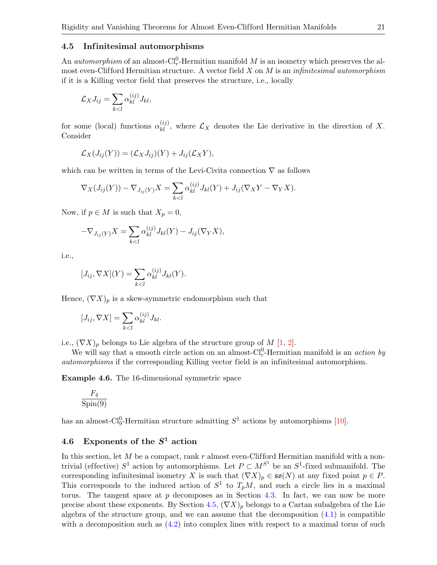#### <span id="page-20-0"></span>4.5 Infinitesimal automorphisms

An *automorphism* of an almost- $Cl_r^0$ -Hermitian manifold M is an isometry which preserves the almost even-Clifford Hermitian structure. A vector field  $X$  on  $M$  is an *infinitesimal automorphism* if it is a Killing vector field that preserves the structure, i.e., locally

$$
\mathcal{L}_X J_{ij} = \sum_{k < l} \alpha_{kl}^{(ij)} J_{kl},
$$

for some (local) functions  $\alpha_{kl}^{(ij)}$ , where  $\mathcal{L}_X$  denotes the Lie derivative in the direction of X. Consider

$$
\mathcal{L}_X(J_{ij}(Y)) = (\mathcal{L}_X J_{ij})(Y) + J_{ij}(\mathcal{L}_X Y),
$$

which can be written in terms of the Levi-Civita connection  $\nabla$  as follows

$$
\nabla_X(J_{ij}(Y)) - \nabla_{J_{ij}(Y)}X = \sum_{k < l} \alpha_{kl}^{(ij)} J_{kl}(Y) + J_{ij}(\nabla_X Y - \nabla_Y X).
$$

Now, if  $p \in M$  is such that  $X_p = 0$ ,

$$
-\nabla_{J_{ij}(Y)}X = \sum_{k < l} \alpha_{kl}^{(ij)} J_{kl}(Y) - J_{ij}(\nabla_Y X),
$$

i.e.,

$$
[J_{ij}, \nabla X](Y) = \sum_{k < l} \alpha_{kl}^{(ij)} J_{kl}(Y).
$$

Hence,  $(\nabla X)_p$  is a skew-symmetric endomorphism such that

$$
[J_{ij}, \nabla X] = \sum_{k < l} \alpha_{kl}^{(ij)} J_{kl}.
$$

i.e.,  $(\nabla X)_p$  belongs to Lie algebra of the structure group of M [\[1,](#page-26-2) [2\]](#page-26-3).

We will say that a smooth circle action on an almost- $Cl_r^0$ -Hermitian manifold is an *action by* automorphisms if the corresponding Killing vector field is an infinitesimal automorphism.

Example 4.6. The 16-dimensional symmetric space

$$
\frac{F_4}{\text{Spin}(9)}
$$

has an almost-Cl<sup>0</sup>-Hermitian structure admitting  $S^1$  actions by automorphisms [\[10\]](#page-27-17).

# 4.6 Exponents of the  $S^1$  action

In this section, let  $M$  be a compact, rank  $r$  almost even-Clifford Hermitian manifold with a nontrivial (effective)  $S^1$  action by automorphisms. Let  $P \subset M^{S^1}$  be an  $S^1$ -fixed submanifold. The corresponding infinitesimal isometry X is such that  $(\nabla X)_p \in \mathfrak{so}(N)$  at any fixed point  $p \in P$ . This corresponds to the induced action of  $S^1$  to  $T_pM$ , and such a circle lies in a maximal torus. The tangent space at p decomposes as in Section [4.3.](#page-17-0) In fact, we can now be more precise about these exponents. By Section [4.5,](#page-20-0)  $(\nabla X)_p$  belongs to a Cartan subalgebra of the Lie algebra of the structure group, and we can assume that the decomposition  $(4.1)$  is compatible with a decomposition such as  $(4.2)$  into complex lines with respect to a maximal torus of such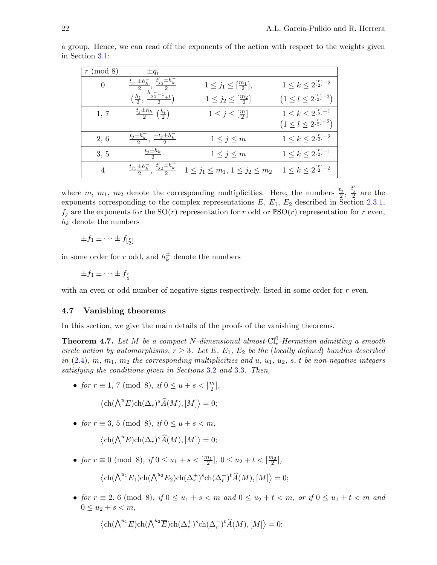| $\pmod{8}$     | $\pm q_i$                                             |                                            |                                                       |
|----------------|-------------------------------------------------------|--------------------------------------------|-------------------------------------------------------|
| $\Omega$       | $t'_{j2} \pm h_k^-$<br>$t_{j1} \pm h_k^+$             | $1 \leq j_1 \leq [\frac{m_1}{2}],$         | $1 \leq k \leq 2^{\lfloor \frac{r}{2} \rfloor - 2}$   |
|                | $\frac{h_{2}r_{2}-1}{2^{2}-1+l}$<br>$(\frac{h_l}{2},$ | $1 \leq j_2 \leq [\frac{m_2}{2}]$          | $(1 \leq l \leq 2^{\lfloor \frac{r}{2} \rfloor - 3})$ |
| 1, 7           | $\frac{t_j \pm h_k}{2} \left(\frac{h_l}{2}\right)$    | $1\leq j\leq \left[\frac{m}{2}\right]$     | $1 \leq k \leq 2^{\lfloor \frac{r}{2} \rfloor - 1}$   |
|                |                                                       |                                            | $(1 \leq l \leq 2^{\lceil \frac{r}{2} \rceil - 2})$   |
| 2, 6           | $t_j \pm h_k$<br>$\frac{-t_j \pm h_k}{2}$             | $1\leq j\leq m$                            | $1 \leq k \leq 2^{\left[\frac{r}{2}\right]-2}$        |
| 3, 5           | $\frac{t_j\pm h_k}{2}$                                | $1\leq j\leq m$                            | $1 \leq k \leq 2^{\lfloor \frac{r}{2} \rfloor - 1}$   |
| $\overline{4}$ | $t'_{j2} \pm h_k^-$<br>$t_{j1} \pm h_k^+$             | $1 \leq j_1 \leq m_1, 1 \leq j_2 \leq m_2$ | $1 \leq k \leq 2^{\lfloor \frac{r}{2} \rfloor - 2}$   |

a group. Hence, we can read off the exponents of the action with respect to the weights given in Section [3.1:](#page-9-0)

where m,  $m_1$ ,  $m_2$  denote the corresponding multiplicities. Here, the numbers  $\frac{t_j}{2}$ ,  $\frac{t'_j}{2}$  are the exponents corresponding to the complex representations  $E, E_1, E_2$  described in Section [2.3.1,](#page-6-1)  $f_i$  are the exponents for the SO(*r*) representation for r odd or  $PSO(r)$  representation for r even,  $h_k$  denote the numbers

 $\pm f_1 \pm \cdots \pm f_{\left[\frac{r}{2}\right]}$ 

in some order for r odd, and  $h_k^{\pm}$  $\frac{1}{k}$  denote the numbers

 $\pm f_1 \pm \cdots \pm f_{\frac{r}{2}}$ 

with an even or odd number of negative signs respectively, listed in some order for r even.

### 4.7 Vanishing theorems

In this section, we give the main details of the proofs of the vanishing theorems.

<span id="page-21-0"></span>**Theorem 4.7.** Let M be a compact N-dimensional almost- $Cl_r^0$ -Hermitian admitting a smooth circle action by automorphisms,  $r \geq 3$ . Let E, E<sub>1</sub>, E<sub>2</sub> be the (locally defined) bundles described in  $(2.4)$ , m,  $m_1$ ,  $m_2$  the corresponding multiplicities and u,  $u_1$ ,  $u_2$ , s, t be non-negative integers satisfying the conditions given in Sections [3.2](#page-11-2) and [3.3](#page-14-0). Then,

• for  $r \equiv 1, 7 \pmod{8}$ , if  $0 \le u + s < \lceil \frac{m}{2} \rceil$  $\frac{m}{2}$ ],

$$
\langle \text{ch}(\bigwedge^u E)\text{ch}(\Delta_r)^s \widehat{A}(M), [M] \rangle = 0;
$$

• for  $r \equiv 3, 5 \pmod{8}$ , if  $0 \le u + s < m$ ,

$$
\langle \text{ch}(\bigwedge^u E)\text{ch}(\Delta_r)^s \widehat{A}(M), [M] \rangle = 0;
$$

- for  $r \equiv 0 \pmod{8}$ , if  $0 \le u_1 + s < \left[\frac{m_1}{2}\right]$ ,  $0 \le u_2 + t < \left[\frac{m_2}{2}\right]$ ,  $\langle ch(\bigwedge^{u_1}E_1)ch(\bigwedge^{u_2}E_2)ch(\Delta_r^+)^s ch(\Delta_r^-)^t \widehat{A}(M), [M] \rangle = 0;$
- for  $r \equiv 2, 6 \pmod{8}$ , if  $0 \le u_1 + s < m$  and  $0 \le u_2 + t < m$ , or if  $0 \le u_1 + t < m$  and  $0 \leq u_2 + s < m$ ,

$$
\langle \text{ch}(\bigwedge^{u_1} E)\text{ch}(\bigwedge^{u_2} \overline{E})\text{ch}(\Delta_r^+)^s \text{ch}(\Delta_r^-)^t \widehat{A}(M), [M] \rangle = 0;
$$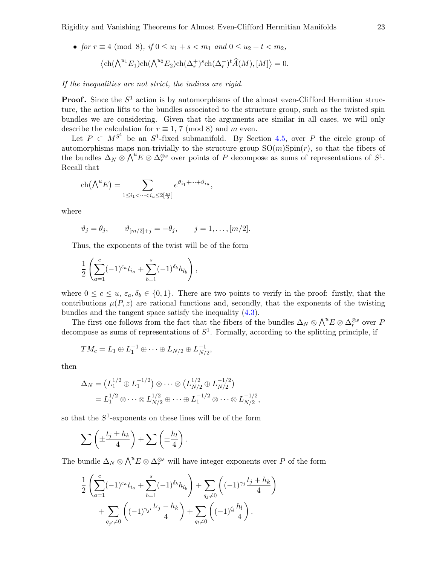• for  $r \equiv 4 \pmod{8}$ , if  $0 \le u_1 + s < m_1$  and  $0 \le u_2 + t < m_2$ ,  $\langle ch(\bigwedge^{u_1}E_1)ch(\bigwedge^{u_2}E_2)ch(\Delta_r^+)^s ch(\Delta_r^-)^t \widehat{A}(M), [M] \rangle = 0.$ 

If the inequalities are not strict, the indices are rigid.

**Proof.** Since the  $S^1$  action is by automorphisms of the almost even-Clifford Hermitian structure, the action lifts to the bundles associated to the structure group, such as the twisted spin bundles we are considering. Given that the arguments are similar in all cases, we will only describe the calculation for  $r \equiv 1, 7 \pmod{8}$  and m even.

Let  $P \subset M^{S^1}$  be an  $S^1$ -fixed submanifold. By Section [4.5,](#page-20-0) over P the circle group of automorphisms maps non-trivially to the structure group  $SO(m)Spin(r)$ , so that the fibers of the bundles  $\Delta_N \otimes \bigwedge^u E \otimes \Delta_r^{\otimes s}$  over points of P decompose as sums of representations of  $S^1$ . Recall that

$$
\operatorname{ch}(\bigwedge^u E) = \sum_{1 \le i_1 < \dots < i_u \le 2\lfloor \frac{m}{2} \rfloor} e^{\vartheta_{i_1} + \dots + \vartheta_{i_u}},
$$

where

$$
\vartheta_j = \theta_j
$$
,  $\vartheta_{[m/2]+j} = -\theta_j$ ,  $j = 1, \ldots, [m/2]$ .

Thus, the exponents of the twist will be of the form

$$
\frac{1}{2} \left( \sum_{a=1}^{c} (-1)^{\varepsilon_a} t_{i_a} + \sum_{b=1}^{s} (-1)^{\delta_b} h_{l_b} \right),
$$

where  $0 \leq c \leq u$ ,  $\varepsilon_a$ ,  $\delta_b \in \{0,1\}$ . There are two points to verify in the proof: firstly, that the contributions  $\mu(P, z)$  are rational functions and, secondly, that the exponents of the twisting bundles and the tangent space satisfy the inequality [\(4.3\)](#page-18-0).

The first one follows from the fact that the fibers of the bundles  $\Delta_N \otimes \bigwedge^u E \otimes \Delta_r^{\otimes s}$  over P decompose as sums of representations of  $S<sup>1</sup>$ . Formally, according to the splitting principle, if

$$
TM_c = L_1 \oplus L_1^{-1} \oplus \cdots \oplus L_{N/2} \oplus L_{N/2}^{-1},
$$

then

$$
\Delta_N = (L_1^{1/2} \oplus L_1^{-1/2}) \otimes \cdots \otimes (L_{N/2}^{1/2} \oplus L_{N/2}^{-1/2})
$$
  
=  $L_1^{1/2} \otimes \cdots \otimes L_{N/2}^{1/2} \oplus \cdots \oplus L_1^{-1/2} \otimes \cdots \otimes L_{N/2}^{-1/2},$ 

so that the  $S^1$ -exponents on these lines will be of the form

$$
\sum \left( \pm \frac{t_j \pm h_k}{4} \right) + \sum \left( \pm \frac{h_l}{4} \right).
$$

The bundle  $\Delta_N \otimes \bigwedge^u E \otimes \Delta_r^{\otimes s}$  will have integer exponents over P of the form

$$
\frac{1}{2} \left( \sum_{a=1}^{c} (-1)^{\varepsilon_a} t_{i_a} + \sum_{b=1}^{s} (-1)^{\delta_b} h_{l_b} \right) + \sum_{q_j \neq 0} \left( (-1)^{\gamma_j} \frac{t_j + h_k}{4} \right) + \sum_{q_{j'} \neq 0} \left( (-1)^{\gamma_j} \frac{t_j - h_k}{4} \right) + \sum_{q_l \neq 0} \left( (-1)^{\zeta_l} \frac{h_l}{4} \right).
$$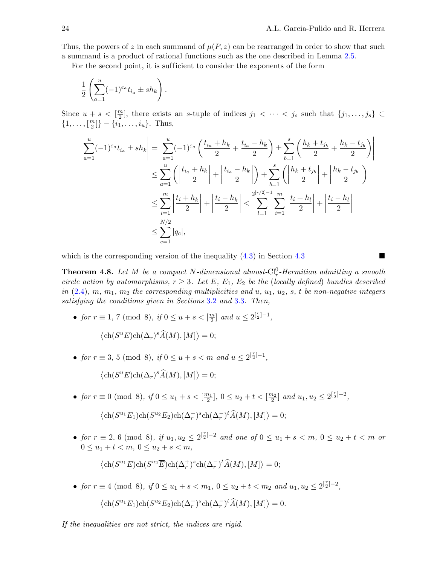Thus, the powers of z in each summand of  $\mu(P, z)$  can be rearranged in order to show that such a summand is a product of rational functions such as the one described in Lemma [2.5.](#page-8-1)

For the second point, it is sufficient to consider the exponents of the form

$$
\frac{1}{2} \left( \sum_{a=1}^u (-1)^{\varepsilon_a} t_{i_a} \pm sh_k \right).
$$

Since  $u + s < \lceil \frac{m}{2} \rceil$  $\frac{m}{2}$ , there exists an s-tuple of indices  $j_1 < \cdots < j_s$  such that  $\{j_1, \ldots, j_s\} \subset$  $\{1, \ldots, \lceil \frac{m}{2} \rceil \}$  $\left[\frac{m}{2}\right]$ } – { $i_1, \ldots, i_u$ }. Thus,

$$
\left| \sum_{a=1}^{u} (-1)^{\varepsilon_a} t_{i_a} \pm sh_k \right| = \left| \sum_{a=1}^{u} (-1)^{\varepsilon_a} \left( \frac{t_{i_a} + h_k}{2} + \frac{t_{i_a} - h_k}{2} \right) \pm \sum_{b=1}^{s} \left( \frac{h_k + t_{j_b}}{2} + \frac{h_k - t_{j_b}}{2} \right) \right|
$$
  

$$
\leq \sum_{a=1}^{u} \left( \left| \frac{t_{i_a} + h_k}{2} \right| + \left| \frac{t_{i_a} - h_k}{2} \right| \right) + \sum_{b=1}^{s} \left( \left| \frac{h_k + t_{j_b}}{2} \right| + \left| \frac{h_k - t_{j_b}}{2} \right| \right)
$$
  

$$
\leq \sum_{i=1}^{m} \left| \frac{t_i + h_k}{2} \right| + \left| \frac{t_i - h_k}{2} \right| < \sum_{l=1}^{2^{[r/2]-1}} \sum_{i=1}^{m} \left| \frac{t_i + h_l}{2} \right| + \left| \frac{t_i - h_l}{2} \right|
$$
  

$$
\leq \sum_{c=1}^{N/2} |q_c|,
$$

which is the corresponding version of the inequality  $(4.3)$  $(4.3)$  $(4.3)$  in Section 4.3

<span id="page-23-0"></span>**Theorem 4.8.** Let M be a compact N-dimensional almost- $Cl_r^0$ -Hermitian admitting a smooth circle action by automorphisms,  $r \geq 3$ . Let E, E<sub>1</sub>, E<sub>2</sub> be the (locally defined) bundles described in  $(2.4)$ , m,  $m_1$ ,  $m_2$  the corresponding multiplicities and u,  $u_1$ ,  $u_2$ , s, t be non-negative integers satisfying the conditions given in Sections [3.2](#page-11-2) and [3.3](#page-14-0). Then,

• for  $r \equiv 1, 7 \pmod{8}$ , if  $0 \le u + s < \lceil \frac{m}{2} \rceil$  $\frac{m}{2}$ ] and  $u \leq 2^{\left[\frac{r}{2}\right]-1}$ ,

$$
\langle \text{ch}(S^u E) \text{ch}(\Delta_r)^s \widehat{A}(M), [M] \rangle = 0;
$$

- for  $r \equiv 3, 5 \pmod{8}$ , if  $0 \le u + s < m$  and  $u \le 2^{\lfloor \frac{r}{2} \rfloor 1}$ ,  $\langle \text{ch}(S^u E) \text{ch}(\Delta_r)^s \widehat{A}(M), [M] \rangle = 0;$
- for  $r \equiv 0 \pmod{8}$ , if  $0 \le u_1 + s < \left[\frac{m_1}{2}\right]$ ,  $0 \le u_2 + t < \left[\frac{m_2}{2}\right]$  and  $u_1, u_2 \le 2^{\left[\frac{r}{2}\right]-2}$ ,  $\langle \text{ch}(S^{u_1}E_1)\text{ch}(S^{u_2}E_2)\text{ch}(\Delta_r^+)^s \text{ch}(\Delta_r^-)^t \widehat{A}(M), [M] \rangle = 0;$
- for  $r \equiv 2, 6 \pmod{8}$ , if  $u_1, u_2 \leq 2^{\lceil \frac{r}{2} \rceil 2}$  and one of  $0 \leq u_1 + s < m$ ,  $0 \leq u_2 + t < m$  or  $0 \leq u_1 + t < m, \ 0 \leq u_2 + s < m,$

$$
\langle \text{ch}(S^{u_1}E)\text{ch}(S^{u_2}\overline{E})\text{ch}(\Delta_r^+)^s \text{ch}(\Delta_r^-)^t \widehat{A}(M), [M] \rangle = 0;
$$

• for  $r \equiv 4 \pmod{8}$ , if  $0 \le u_1 + s < m_1$ ,  $0 \le u_2 + t < m_2$  and  $u_1, u_2 \le 2^{\lfloor \frac{r}{2} \rfloor - 2}$ ,  $\langle \text{ch}(S^{u_1}E_1)\text{ch}(S^{u_2}E_2)\text{ch}(\Delta_r^+)^s \text{ch}(\Delta_r^-)^t \widehat{A}(M), [M] \rangle = 0.$ 

If the inequalities are not strict, the indices are rigid.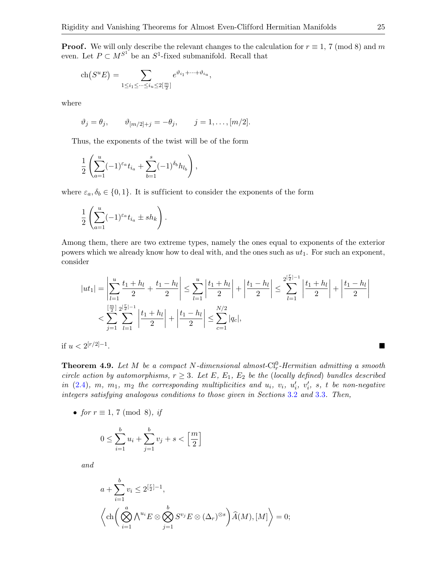**Proof.** We will only describe the relevant changes to the calculation for  $r \equiv 1, 7 \pmod{8}$  and m even. Let  $P \subset M^{S^1}$  be an  $S^1$ -fixed submanifold. Recall that

$$
\operatorname{ch}(S^u E) = \sum_{1 \le i_1 \le \dots \le i_u \le 2\left[\frac{m}{2}\right]} e^{\vartheta_{i_1} + \dots + \vartheta_{i_u}},
$$

where

$$
\vartheta_j = \theta_j
$$
,  $\vartheta_{[m/2]+j} = -\theta_j$ ,  $j = 1, ..., [m/2]$ .

Thus, the exponents of the twist will be of the form

$$
\frac{1}{2} \left( \sum_{a=1}^{u} (-1)^{\varepsilon_a} t_{i_a} + \sum_{b=1}^{s} (-1)^{\delta_b} h_{l_b} \right),
$$

where  $\varepsilon_a, \delta_b \in \{0, 1\}$ . It is sufficient to consider the exponents of the form

$$
\frac{1}{2} \left( \sum_{a=1}^u (-1)^{\varepsilon_a} t_{i_a} \pm sh_k \right).
$$

Among them, there are two extreme types, namely the ones equal to exponents of the exterior powers which we already know how to deal with, and the ones such as  $ut_1$ . For such an exponent, consider

$$
|ut_1| = \left| \sum_{l=1}^{u} \frac{t_1 + h_l}{2} + \frac{t_1 - h_l}{2} \right| \le \sum_{l=1}^{u} \left| \frac{t_1 + h_l}{2} \right| + \left| \frac{t_1 - h_l}{2} \right| \le \sum_{l=1}^{2^{\lfloor \frac{r}{2} \rfloor - 1}} \left| \frac{t_1 + h_l}{2} \right| + \left| \frac{t_1 - h_l}{2} \right|
$$
  

$$
< \sum_{j=1}^{\lfloor \frac{m}{2} \rfloor} \sum_{l=1}^{2^{\lfloor \frac{r}{2} \rfloor - 1}} \left| \frac{t_1 + h_l}{2} \right| + \left| \frac{t_1 - h_l}{2} \right| \le \sum_{c=1}^{N/2} |q_c|,
$$

if  $u < 2^{[r/2]-1}$ .<br>1980 – Paris Paris II, prinses politika i politika i politika i politika i politika i politika i politika i po

<span id="page-24-0"></span>**Theorem 4.9.** Let M be a compact N-dimensional almost- $Cl_r^0$ -Hermitian admitting a smooth circle action by automorphisms,  $r \geq 3$ . Let E, E<sub>1</sub>, E<sub>2</sub> be the (locally defined) bundles described in  $(2.4)$ , m, m<sub>1</sub>, m<sub>2</sub> the corresponding multiplicities and  $u_i$ ,  $v_i$ ,  $u'_i$ ,  $v'_i$ , s, t be non-negative integers satisfying analogous conditions to those given in Sections [3.2](#page-11-2) and [3.3](#page-14-0). Then,

• for  $r \equiv 1, 7 \pmod{8}$ , if

$$
0 \le \sum_{i=1}^{b} u_i + \sum_{j=1}^{b} v_j + s < \left[\frac{m}{2}\right]
$$

and

$$
a + \sum_{i=1}^{b} v_i \le 2^{\lfloor \frac{r}{2} \rfloor - 1},
$$
  

$$
\left\langle \text{ch}\left(\bigotimes_{i=1}^{a} \bigwedge^{u_i} E \otimes \bigotimes_{j=1}^{b} S^{v_j} E \otimes (\Delta_r)^{\otimes s} \right) \widehat{A}(M), [M] \right\rangle = 0;
$$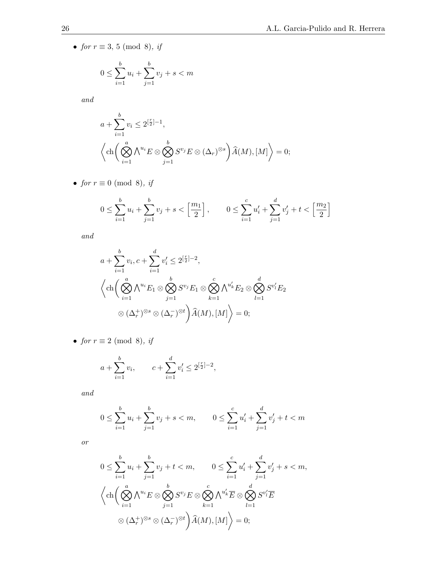• for  $r \equiv 3, 5 \pmod{8}$ , if

$$
0 \le \sum_{i=1}^{b} u_i + \sum_{j=1}^{b} v_j + s < m
$$

and

$$
a + \sum_{i=1}^{b} v_i \le 2^{\left[\frac{r}{2}\right]-1},
$$
  

$$
\left\langle \text{ch}\left(\bigotimes_{i=1}^{a} \bigwedge^{u_i} E \otimes \bigotimes_{j=1}^{b} S^{v_j} E \otimes (\Delta_r)^{\otimes s} \right) \widehat{A}(M), [M] \right\rangle = 0;
$$

• for  $r \equiv 0 \pmod{8}$ , if

$$
0 \le \sum_{i=1}^{b} u_i + \sum_{j=1}^{b} v_j + s < \left[\frac{m_1}{2}\right], \qquad 0 \le \sum_{i=1}^{c} u'_i + \sum_{j=1}^{d} v'_j + t < \left[\frac{m_2}{2}\right]
$$

and

$$
a + \sum_{i=1}^{b} v_i, c + \sum_{i=1}^{d} v'_i \le 2^{\lfloor \frac{r}{2} \rfloor - 2},
$$
  

$$
\left\langle \text{ch}\left(\bigotimes_{i=1}^{a} \bigwedge^{u_i} E_1 \otimes \bigotimes_{j=1}^{b} S^{v_j} E_1 \otimes \bigotimes_{k=1}^{c} \bigwedge^{u'_k} E_2 \otimes \bigotimes_{l=1}^{d} S^{v'_l} E_2 \right) \right\rangle
$$
  

$$
\otimes (\Delta_r^+)^{\otimes s} \otimes (\Delta_r^-)^{\otimes t} \left\langle \bigwedge M \bigwedge [M] \right\rangle = 0;
$$

• for  $r \equiv 2 \pmod{8}$ , if

$$
a + \sum_{i=1}^{b} v_i
$$
,  $c + \sum_{i=1}^{d} v'_i \le 2^{\lfloor \frac{r}{2} \rfloor - 2}$ ,

and

$$
0 \le \sum_{i=1}^{b} u_i + \sum_{j=1}^{b} v_j + s < m, \qquad 0 \le \sum_{i=1}^{c} u'_i + \sum_{j=1}^{d} v'_j + t < m
$$

or

$$
0 \leq \sum_{i=1}^{b} u_i + \sum_{j=1}^{b} v_j + t < m, \qquad 0 \leq \sum_{i=1}^{c} u'_i + \sum_{j=1}^{d} v'_j + s < m,
$$
\n
$$
\left\langle \text{ch}\left(\bigotimes_{i=1}^{a} \bigwedge_{j=1}^{u_i} E \otimes \bigotimes_{j=1}^{b} S^{v_j} E \otimes \bigotimes_{k=1}^{c} \bigwedge_{l=1}^{u'_k} E \otimes \bigotimes_{l=1}^{d} S^{v'_l} \overline{E} \right. \right.
$$
\n
$$
\otimes (\Delta_r^+)^{\otimes s} \otimes (\Delta_r^-)^{\otimes t} \left\langle \widehat{A}(M), [M] \right\rangle = 0;
$$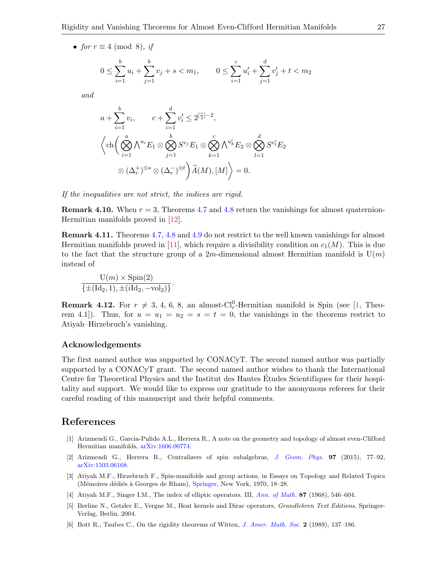• for  $r \equiv 4 \pmod{8}$ , if

$$
0 \le \sum_{i=1}^{b} u_i + \sum_{j=1}^{b} v_j + s < m_1, \qquad 0 \le \sum_{i=1}^{c} u'_i + \sum_{j=1}^{d} v'_j + t < m_2
$$

and

$$
a + \sum_{i=1}^{b} v_i, \qquad c + \sum_{i=1}^{d} v'_i \le 2^{\left[\frac{r}{2}\right]-2},
$$
  

$$
\left\langle \text{ch}\left(\bigotimes_{i=1}^{a} \bigwedge_{i=1}^{u_i} E_1 \otimes \bigotimes_{j=1}^{b} S^{v_j} E_1 \otimes \bigotimes_{k=1}^{c} \bigwedge_{i=1}^{u'_k} E_2 \otimes \bigotimes_{l=1}^{d} S^{v'_l} E_2 \right. \right\}
$$
  

$$
\otimes (\Delta_r^+)^{\otimes s} \otimes (\Delta_r^-)^{\otimes t} \left\langle \bigwedge_{i=1}^{d} (M), [M] \right\rangle = 0.
$$

If the inequalities are not strict, the indices are rigid.

.

**Remark 4.10.** When  $r = 3$ , Theorems [4.7](#page-21-0) and [4.8](#page-23-0) return the vanishings for almost quaternion-Hermitian manifolds proved in [\[12\]](#page-27-3).

Remark 4.11. Theorems [4.7,](#page-21-0) [4.8](#page-23-0) and [4.9](#page-24-0) do not restrict to the well known vanishings for almost Hermitian manifolds proved in [\[11\]](#page-27-1), which require a divisibility condition on  $c_1(M)$ . This is due to the fact that the structure group of a 2m-dimensional almost Hermitian manifold is  $U(m)$ instead of

$$
\frac{\mathrm{U}(m) \times \mathrm{Spin}(2)}{\{\pm(\mathrm{Id}_2, 1), \pm(i\mathrm{Id}_2, -\mathrm{vol}_2)\}}
$$

**Remark 4.12.** For  $r \neq 3, 4, 6, 8$ , an almost-Cl<sub>r</sub><sup>0</sup>-Hermitian manifold is Spin (see [\[1,](#page-26-2) Theorem 4.1). Thus, for  $u = u_1 = u_2 = s = t = 0$ , the vanishings in the theorems restrict to Atiyah–Hirzebruch's vanishing.

### Acknowledgements

The first named author was supported by CONACyT. The second named author was partially supported by a CONACyT grant. The second named author wishes to thank the International Centre for Theoretical Physics and the Institut des Hautes Etudes Scientifiques for their hospi- ´ tality and support. We would like to express our gratitude to the anonymous referees for their careful reading of this manuscript and their helpful comments.

# References

- <span id="page-26-2"></span>[1] Arizmendi G., Garcia-Pulido A.L., Herrera R., A note on the geometry and topology of almost even-Clifford Hermitian manifolds, [arXiv:1606.00774.](http://arxiv.org/abs/1606.00774)
- <span id="page-26-3"></span>[2] Arizmendi G., Herrera R., Centralizers of spin subalgebras, [J. Geom. Phys.](https://doi.org/10.1016/j.geomphys.2015.07.002) 97 (2015), 77–92, [arXiv:1503.06168.](http://arxiv.org/abs/1503.06168)
- <span id="page-26-0"></span>[3] Atiyah M.F., Hirzebruch F., Spin-manifolds and group actions, in Essays on Topology and Related Topics (Mémoires dédiés à Georges de Rham), [Springer,](https://doi.org/10.1007/978-3-642-49197-9_3) New York, 1970, 18–28.
- <span id="page-26-4"></span>[4] Atiyah M.F., Singer I.M., The index of elliptic operators. III, [Ann. of Math.](https://doi.org/10.2307/1970717) 87 (1968), 546–604.
- <span id="page-26-5"></span>[5] Berline N., Getzler E., Vergne M., Heat kernels and Dirac operators, Grundlehren Text Editions, Springer-Verlag, Berlin, 2004.
- <span id="page-26-1"></span>[6] Bott R., Taubes C., On the rigidity theorems of Witten, [J. Amer. Math. Soc.](https://doi.org/10.2307/1990915) 2 (1989), 137–186.